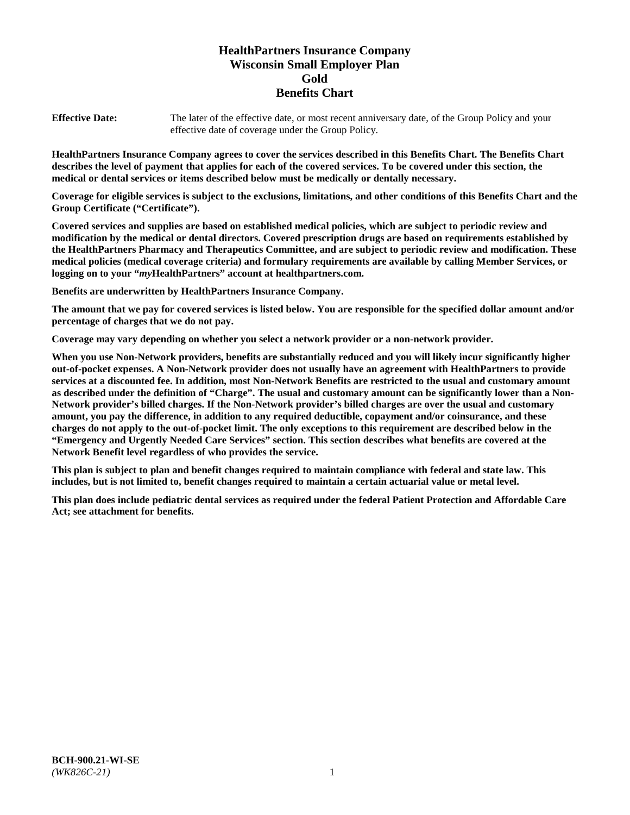# **HealthPartners Insurance Company Wisconsin Small Employer Plan Gold Benefits Chart**

**Effective Date:** The later of the effective date, or most recent anniversary date, of the Group Policy and your effective date of coverage under the Group Policy.

**HealthPartners Insurance Company agrees to cover the services described in this Benefits Chart. The Benefits Chart describes the level of payment that applies for each of the covered services. To be covered under this section, the medical or dental services or items described below must be medically or dentally necessary.**

**Coverage for eligible services is subject to the exclusions, limitations, and other conditions of this Benefits Chart and the Group Certificate ("Certificate").**

**Covered services and supplies are based on established medical policies, which are subject to periodic review and modification by the medical or dental directors. Covered prescription drugs are based on requirements established by the HealthPartners Pharmacy and Therapeutics Committee, and are subject to periodic review and modification. These medical policies (medical coverage criteria) and formulary requirements are available by calling Member Services, or logging on to your "***my***HealthPartners" account at [healthpartners.com.](https://www.healthpartners.com/hp/index.html)**

**Benefits are underwritten by HealthPartners Insurance Company.**

**The amount that we pay for covered services is listed below. You are responsible for the specified dollar amount and/or percentage of charges that we do not pay.**

**Coverage may vary depending on whether you select a network provider or a non-network provider.**

**When you use Non-Network providers, benefits are substantially reduced and you will likely incur significantly higher out-of-pocket expenses. A Non-Network provider does not usually have an agreement with HealthPartners to provide services at a discounted fee. In addition, most Non-Network Benefits are restricted to the usual and customary amount as described under the definition of "Charge". The usual and customary amount can be significantly lower than a Non-Network provider's billed charges. If the Non-Network provider's billed charges are over the usual and customary amount, you pay the difference, in addition to any required deductible, copayment and/or coinsurance, and these charges do not apply to the out-of-pocket limit. The only exceptions to this requirement are described below in the "Emergency and Urgently Needed Care Services" section. This section describes what benefits are covered at the Network Benefit level regardless of who provides the service.**

**This plan is subject to plan and benefit changes required to maintain compliance with federal and state law. This includes, but is not limited to, benefit changes required to maintain a certain actuarial value or metal level.**

**This plan does include pediatric dental services as required under the federal Patient Protection and Affordable Care Act; see attachment for benefits.**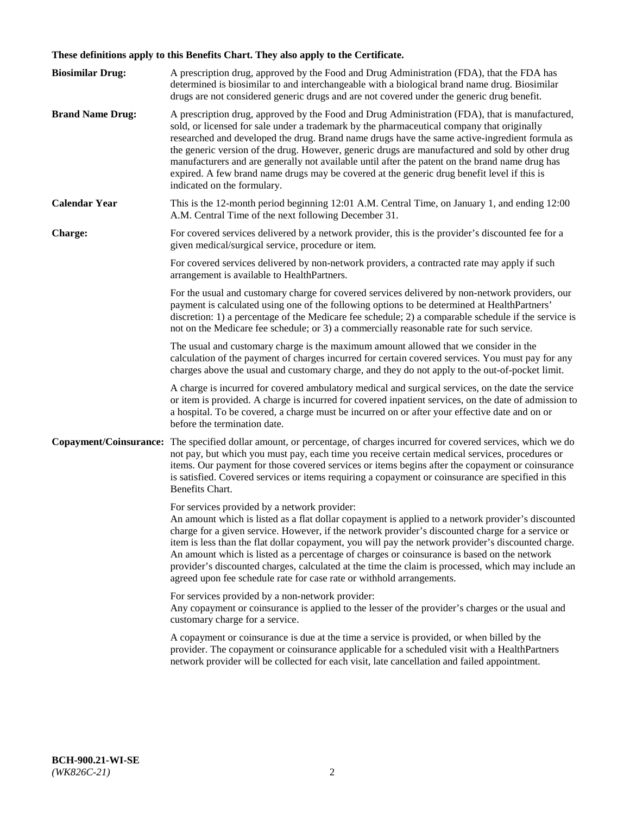# **These definitions apply to this Benefits Chart. They also apply to the Certificate.**

| <b>Biosimilar Drug:</b> | A prescription drug, approved by the Food and Drug Administration (FDA), that the FDA has<br>determined is biosimilar to and interchangeable with a biological brand name drug. Biosimilar<br>drugs are not considered generic drugs and are not covered under the generic drug benefit.                                                                                                                                                                                                                                                                                                                                                     |
|-------------------------|----------------------------------------------------------------------------------------------------------------------------------------------------------------------------------------------------------------------------------------------------------------------------------------------------------------------------------------------------------------------------------------------------------------------------------------------------------------------------------------------------------------------------------------------------------------------------------------------------------------------------------------------|
| <b>Brand Name Drug:</b> | A prescription drug, approved by the Food and Drug Administration (FDA), that is manufactured,<br>sold, or licensed for sale under a trademark by the pharmaceutical company that originally<br>researched and developed the drug. Brand name drugs have the same active-ingredient formula as<br>the generic version of the drug. However, generic drugs are manufactured and sold by other drug<br>manufacturers and are generally not available until after the patent on the brand name drug has<br>expired. A few brand name drugs may be covered at the generic drug benefit level if this is<br>indicated on the formulary.           |
| <b>Calendar Year</b>    | This is the 12-month period beginning 12:01 A.M. Central Time, on January 1, and ending 12:00<br>A.M. Central Time of the next following December 31.                                                                                                                                                                                                                                                                                                                                                                                                                                                                                        |
| <b>Charge:</b>          | For covered services delivered by a network provider, this is the provider's discounted fee for a<br>given medical/surgical service, procedure or item.                                                                                                                                                                                                                                                                                                                                                                                                                                                                                      |
|                         | For covered services delivered by non-network providers, a contracted rate may apply if such<br>arrangement is available to HealthPartners.                                                                                                                                                                                                                                                                                                                                                                                                                                                                                                  |
|                         | For the usual and customary charge for covered services delivered by non-network providers, our<br>payment is calculated using one of the following options to be determined at HealthPartners'<br>discretion: 1) a percentage of the Medicare fee schedule; 2) a comparable schedule if the service is<br>not on the Medicare fee schedule; or 3) a commercially reasonable rate for such service.                                                                                                                                                                                                                                          |
|                         | The usual and customary charge is the maximum amount allowed that we consider in the<br>calculation of the payment of charges incurred for certain covered services. You must pay for any<br>charges above the usual and customary charge, and they do not apply to the out-of-pocket limit.                                                                                                                                                                                                                                                                                                                                                 |
|                         | A charge is incurred for covered ambulatory medical and surgical services, on the date the service<br>or item is provided. A charge is incurred for covered inpatient services, on the date of admission to<br>a hospital. To be covered, a charge must be incurred on or after your effective date and on or<br>before the termination date.                                                                                                                                                                                                                                                                                                |
| Copayment/Coinsurance:  | The specified dollar amount, or percentage, of charges incurred for covered services, which we do<br>not pay, but which you must pay, each time you receive certain medical services, procedures or<br>items. Our payment for those covered services or items begins after the copayment or coinsurance<br>is satisfied. Covered services or items requiring a copayment or coinsurance are specified in this<br>Benefits Chart.                                                                                                                                                                                                             |
|                         | For services provided by a network provider:<br>An amount which is listed as a flat dollar copayment is applied to a network provider's discounted<br>charge for a given service. However, if the network provider's discounted charge for a service or<br>item is less than the flat dollar copayment, you will pay the network provider's discounted charge.<br>An amount which is listed as a percentage of charges or coinsurance is based on the network<br>provider's discounted charges, calculated at the time the claim is processed, which may include an<br>agreed upon fee schedule rate for case rate or withhold arrangements. |
|                         | For services provided by a non-network provider:<br>Any copayment or coinsurance is applied to the lesser of the provider's charges or the usual and<br>customary charge for a service.                                                                                                                                                                                                                                                                                                                                                                                                                                                      |
|                         | A copayment or coinsurance is due at the time a service is provided, or when billed by the<br>provider. The copayment or coinsurance applicable for a scheduled visit with a HealthPartners<br>network provider will be collected for each visit, late cancellation and failed appointment.                                                                                                                                                                                                                                                                                                                                                  |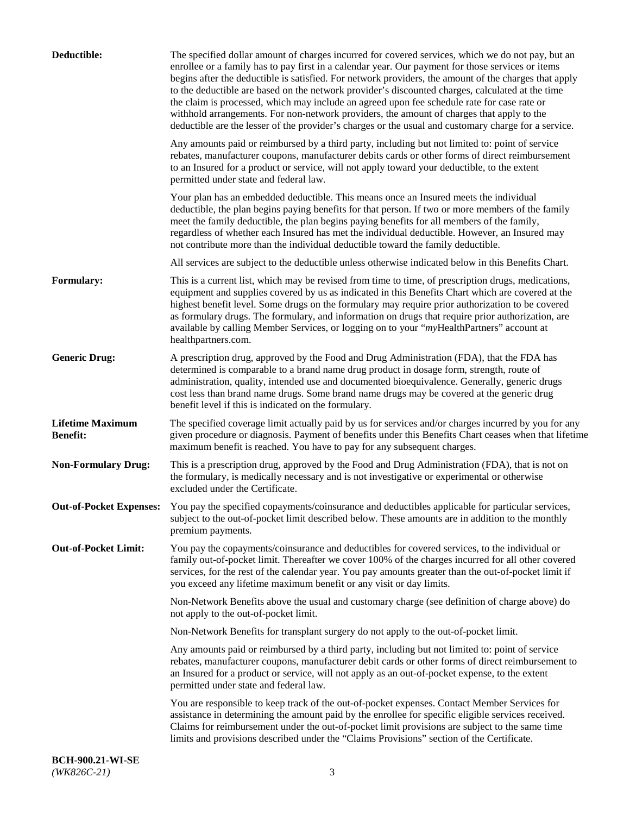| Deductible:                                | The specified dollar amount of charges incurred for covered services, which we do not pay, but an<br>enrollee or a family has to pay first in a calendar year. Our payment for those services or items<br>begins after the deductible is satisfied. For network providers, the amount of the charges that apply<br>to the deductible are based on the network provider's discounted charges, calculated at the time<br>the claim is processed, which may include an agreed upon fee schedule rate for case rate or<br>withhold arrangements. For non-network providers, the amount of charges that apply to the<br>deductible are the lesser of the provider's charges or the usual and customary charge for a service. |
|--------------------------------------------|-------------------------------------------------------------------------------------------------------------------------------------------------------------------------------------------------------------------------------------------------------------------------------------------------------------------------------------------------------------------------------------------------------------------------------------------------------------------------------------------------------------------------------------------------------------------------------------------------------------------------------------------------------------------------------------------------------------------------|
|                                            | Any amounts paid or reimbursed by a third party, including but not limited to: point of service<br>rebates, manufacturer coupons, manufacturer debits cards or other forms of direct reimbursement<br>to an Insured for a product or service, will not apply toward your deductible, to the extent<br>permitted under state and federal law.                                                                                                                                                                                                                                                                                                                                                                            |
|                                            | Your plan has an embedded deductible. This means once an Insured meets the individual<br>deductible, the plan begins paying benefits for that person. If two or more members of the family<br>meet the family deductible, the plan begins paying benefits for all members of the family,<br>regardless of whether each Insured has met the individual deductible. However, an Insured may<br>not contribute more than the individual deductible toward the family deductible.                                                                                                                                                                                                                                           |
|                                            | All services are subject to the deductible unless otherwise indicated below in this Benefits Chart.                                                                                                                                                                                                                                                                                                                                                                                                                                                                                                                                                                                                                     |
| <b>Formulary:</b>                          | This is a current list, which may be revised from time to time, of prescription drugs, medications,<br>equipment and supplies covered by us as indicated in this Benefits Chart which are covered at the<br>highest benefit level. Some drugs on the formulary may require prior authorization to be covered<br>as formulary drugs. The formulary, and information on drugs that require prior authorization, are<br>available by calling Member Services, or logging on to your "myHealthPartners" account at<br>healthpartners.com.                                                                                                                                                                                   |
| <b>Generic Drug:</b>                       | A prescription drug, approved by the Food and Drug Administration (FDA), that the FDA has<br>determined is comparable to a brand name drug product in dosage form, strength, route of<br>administration, quality, intended use and documented bioequivalence. Generally, generic drugs<br>cost less than brand name drugs. Some brand name drugs may be covered at the generic drug<br>benefit level if this is indicated on the formulary.                                                                                                                                                                                                                                                                             |
| <b>Lifetime Maximum</b><br><b>Benefit:</b> | The specified coverage limit actually paid by us for services and/or charges incurred by you for any<br>given procedure or diagnosis. Payment of benefits under this Benefits Chart ceases when that lifetime<br>maximum benefit is reached. You have to pay for any subsequent charges.                                                                                                                                                                                                                                                                                                                                                                                                                                |
| <b>Non-Formulary Drug:</b>                 | This is a prescription drug, approved by the Food and Drug Administration (FDA), that is not on<br>the formulary, is medically necessary and is not investigative or experimental or otherwise<br>excluded under the Certificate.                                                                                                                                                                                                                                                                                                                                                                                                                                                                                       |
|                                            | Out-of-Pocket Expenses: You pay the specified copayments/coinsurance and deductibles applicable for particular services,<br>subject to the out-of-pocket limit described below. These amounts are in addition to the monthly<br>premium payments.                                                                                                                                                                                                                                                                                                                                                                                                                                                                       |
| <b>Out-of-Pocket Limit:</b>                | You pay the copayments/coinsurance and deductibles for covered services, to the individual or<br>family out-of-pocket limit. Thereafter we cover 100% of the charges incurred for all other covered<br>services, for the rest of the calendar year. You pay amounts greater than the out-of-pocket limit if<br>you exceed any lifetime maximum benefit or any visit or day limits.                                                                                                                                                                                                                                                                                                                                      |
|                                            | Non-Network Benefits above the usual and customary charge (see definition of charge above) do<br>not apply to the out-of-pocket limit.                                                                                                                                                                                                                                                                                                                                                                                                                                                                                                                                                                                  |
|                                            | Non-Network Benefits for transplant surgery do not apply to the out-of-pocket limit.                                                                                                                                                                                                                                                                                                                                                                                                                                                                                                                                                                                                                                    |
|                                            | Any amounts paid or reimbursed by a third party, including but not limited to: point of service<br>rebates, manufacturer coupons, manufacturer debit cards or other forms of direct reimbursement to<br>an Insured for a product or service, will not apply as an out-of-pocket expense, to the extent<br>permitted under state and federal law.                                                                                                                                                                                                                                                                                                                                                                        |
|                                            | You are responsible to keep track of the out-of-pocket expenses. Contact Member Services for<br>assistance in determining the amount paid by the enrollee for specific eligible services received.<br>Claims for reimbursement under the out-of-pocket limit provisions are subject to the same time<br>limits and provisions described under the "Claims Provisions" section of the Certificate.                                                                                                                                                                                                                                                                                                                       |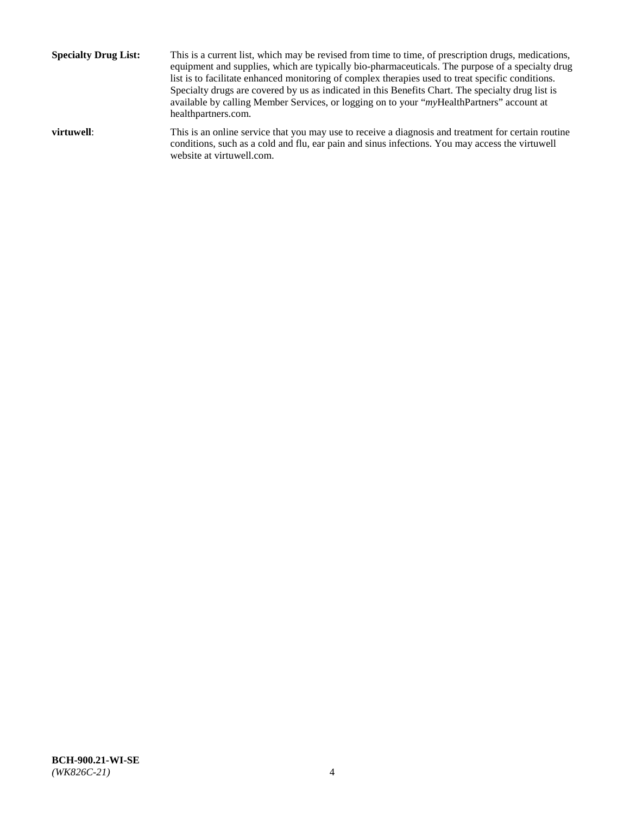**Specialty Drug List:** This is a current list, which may be revised from time to time, of prescription drugs, medications, equipment and supplies, which are typically bio-pharmaceuticals. The purpose of a specialty drug list is to facilitate enhanced monitoring of complex therapies used to treat specific conditions. Specialty drugs are covered by us as indicated in this Benefits Chart. The specialty drug list is available by calling Member Services, or logging on to your "*my*HealthPartners" account at [healthpartners.com.](http://www.healthpartners.com/) **virtuwell:** This is an online service that you may use to receive a diagnosis and treatment for certain routine conditions, such as a cold and flu, ear pain and sinus infections. You may access the virtuwell

website at [virtuwell.com.](http://www.virtuwell.com/)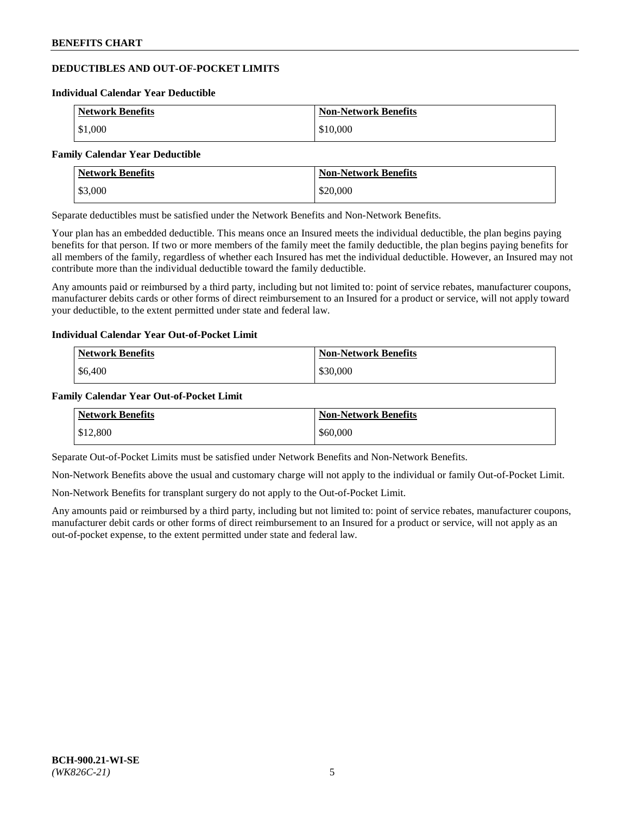# **DEDUCTIBLES AND OUT-OF-POCKET LIMITS**

#### **Individual Calendar Year Deductible**

| <b>Network Benefits</b> | <b>Non-Network Benefits</b> |
|-------------------------|-----------------------------|
| \$1,000                 | \$10,000                    |

#### **Family Calendar Year Deductible**

| <b>Network Benefits</b> | <b>Non-Network Benefits</b> |
|-------------------------|-----------------------------|
| \$3,000                 | \$20,000                    |

Separate deductibles must be satisfied under the Network Benefits and Non-Network Benefits.

Your plan has an embedded deductible. This means once an Insured meets the individual deductible, the plan begins paying benefits for that person. If two or more members of the family meet the family deductible, the plan begins paying benefits for all members of the family, regardless of whether each Insured has met the individual deductible. However, an Insured may not contribute more than the individual deductible toward the family deductible.

Any amounts paid or reimbursed by a third party, including but not limited to: point of service rebates, manufacturer coupons, manufacturer debits cards or other forms of direct reimbursement to an Insured for a product or service, will not apply toward your deductible, to the extent permitted under state and federal law.

#### **Individual Calendar Year Out-of-Pocket Limit**

| <b>Network Benefits</b> | <b>Non-Network Benefits</b> |
|-------------------------|-----------------------------|
| \$6,400                 | \$30,000                    |

#### **Family Calendar Year Out-of-Pocket Limit**

| <b>Network Benefits</b> | Non-Network Benefits |
|-------------------------|----------------------|
| \$12,800                | \$60,000             |

Separate Out-of-Pocket Limits must be satisfied under Network Benefits and Non-Network Benefits.

Non-Network Benefits above the usual and customary charge will not apply to the individual or family Out-of-Pocket Limit.

Non-Network Benefits for transplant surgery do not apply to the Out-of-Pocket Limit.

Any amounts paid or reimbursed by a third party, including but not limited to: point of service rebates, manufacturer coupons, manufacturer debit cards or other forms of direct reimbursement to an Insured for a product or service, will not apply as an out-of-pocket expense, to the extent permitted under state and federal law.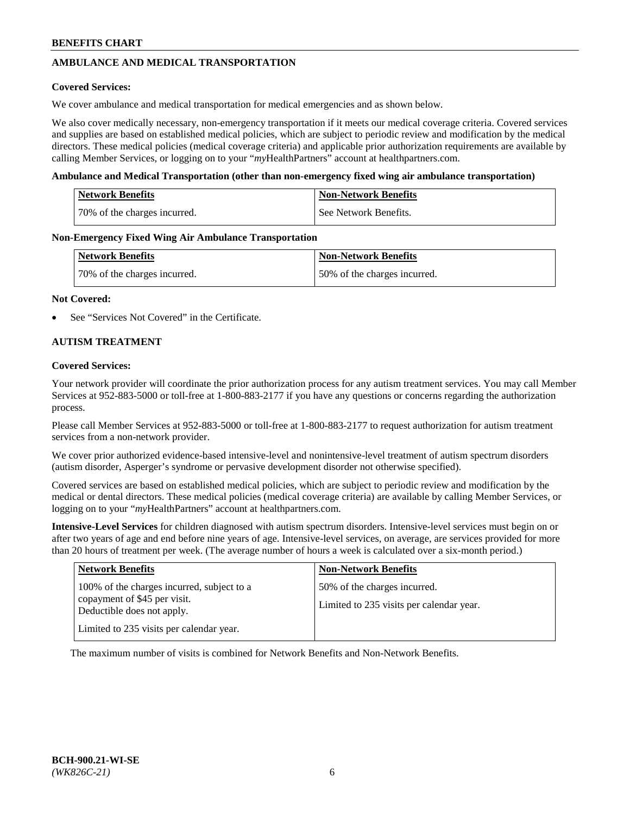# **AMBULANCE AND MEDICAL TRANSPORTATION**

## **Covered Services:**

We cover ambulance and medical transportation for medical emergencies and as shown below.

We also cover medically necessary, non-emergency transportation if it meets our medical coverage criteria. Covered services and supplies are based on established medical policies, which are subject to periodic review and modification by the medical directors. These medical policies (medical coverage criteria) and applicable prior authorization requirements are available by calling Member Services, or logging on to your "*my*HealthPartners" account a[t healthpartners.com.](https://www.healthpartners.com/hp/index.html)

### **Ambulance and Medical Transportation (other than non-emergency fixed wing air ambulance transportation)**

| <b>Network Benefits</b>      | <b>Non-Network Benefits</b> |
|------------------------------|-----------------------------|
| 70% of the charges incurred. | l See Network Benefits.     |

### **Non-Emergency Fixed Wing Air Ambulance Transportation**

| <b>Network Benefits</b>      | <b>Non-Network Benefits</b>  |
|------------------------------|------------------------------|
| 70% of the charges incurred. | 50% of the charges incurred. |

### **Not Covered:**

See "Services Not Covered" in the Certificate.

## **AUTISM TREATMENT**

### **Covered Services:**

Your network provider will coordinate the prior authorization process for any autism treatment services. You may call Member Services at 952-883-5000 or toll-free at 1-800-883-2177 if you have any questions or concerns regarding the authorization process.

Please call Member Services at 952-883-5000 or toll-free at 1-800-883-2177 to request authorization for autism treatment services from a non-network provider.

We cover prior authorized evidence-based intensive-level and nonintensive-level treatment of autism spectrum disorders (autism disorder, Asperger's syndrome or pervasive development disorder not otherwise specified).

Covered services are based on established medical policies, which are subject to periodic review and modification by the medical or dental directors. These medical policies (medical coverage criteria) are available by calling Member Services, or logging on to your "*my*HealthPartners" account at [healthpartners.com.](https://www.healthpartners.com/hp/index.html)

**Intensive-Level Services** for children diagnosed with autism spectrum disorders. Intensive-level services must begin on or after two years of age and end before nine years of age. Intensive-level services, on average, are services provided for more than 20 hours of treatment per week. (The average number of hours a week is calculated over a six-month period.)

| <b>Network Benefits</b>                                                                                                                              | <b>Non-Network Benefits</b>                                              |
|------------------------------------------------------------------------------------------------------------------------------------------------------|--------------------------------------------------------------------------|
| 100% of the charges incurred, subject to a<br>copayment of \$45 per visit.<br>Deductible does not apply.<br>Limited to 235 visits per calendar year. | 50% of the charges incurred.<br>Limited to 235 visits per calendar year. |

The maximum number of visits is combined for Network Benefits and Non-Network Benefits.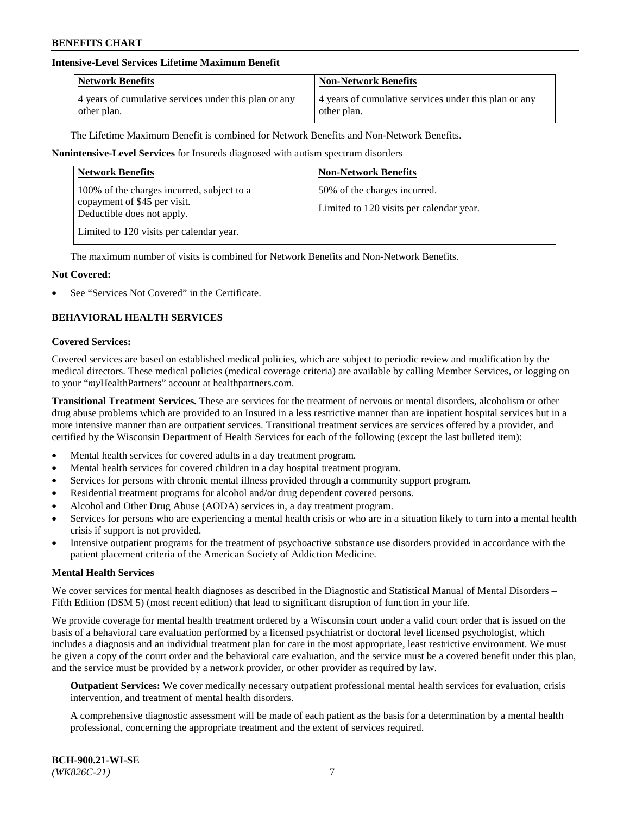## **Intensive-Level Services Lifetime Maximum Benefit**

| <b>Network Benefits</b>                               | <b>Non-Network Benefits</b>                           |
|-------------------------------------------------------|-------------------------------------------------------|
| 4 years of cumulative services under this plan or any | 4 years of cumulative services under this plan or any |
| other plan.                                           | other plan.                                           |

The Lifetime Maximum Benefit is combined for Network Benefits and Non-Network Benefits.

### **Nonintensive-Level Services** for Insureds diagnosed with autism spectrum disorders

| <b>Network Benefits</b>                                                                                                                              | <b>Non-Network Benefits</b>                                              |
|------------------------------------------------------------------------------------------------------------------------------------------------------|--------------------------------------------------------------------------|
| 100% of the charges incurred, subject to a<br>copayment of \$45 per visit.<br>Deductible does not apply.<br>Limited to 120 visits per calendar year. | 50% of the charges incurred.<br>Limited to 120 visits per calendar year. |

The maximum number of visits is combined for Network Benefits and Non-Network Benefits.

### **Not Covered:**

See "Services Not Covered" in the Certificate.

# **BEHAVIORAL HEALTH SERVICES**

#### **Covered Services:**

Covered services are based on established medical policies, which are subject to periodic review and modification by the medical directors. These medical policies (medical coverage criteria) are available by calling Member Services, or logging on to your "*my*HealthPartners" account at [healthpartners.com.](https://www.healthpartners.com/hp/index.html)

**Transitional Treatment Services.** These are services for the treatment of nervous or mental disorders, alcoholism or other drug abuse problems which are provided to an Insured in a less restrictive manner than are inpatient hospital services but in a more intensive manner than are outpatient services. Transitional treatment services are services offered by a provider, and certified by the Wisconsin Department of Health Services for each of the following (except the last bulleted item):

- Mental health services for covered adults in a day treatment program.
- Mental health services for covered children in a day hospital treatment program.
- Services for persons with chronic mental illness provided through a community support program.
- Residential treatment programs for alcohol and/or drug dependent covered persons.
- Alcohol and Other Drug Abuse (AODA) services in, a day treatment program.
- Services for persons who are experiencing a mental health crisis or who are in a situation likely to turn into a mental health crisis if support is not provided.
- Intensive outpatient programs for the treatment of psychoactive substance use disorders provided in accordance with the patient placement criteria of the American Society of Addiction Medicine.

#### **Mental Health Services**

We cover services for mental health diagnoses as described in the Diagnostic and Statistical Manual of Mental Disorders – Fifth Edition (DSM 5) (most recent edition) that lead to significant disruption of function in your life.

We provide coverage for mental health treatment ordered by a Wisconsin court under a valid court order that is issued on the basis of a behavioral care evaluation performed by a licensed psychiatrist or doctoral level licensed psychologist, which includes a diagnosis and an individual treatment plan for care in the most appropriate, least restrictive environment. We must be given a copy of the court order and the behavioral care evaluation, and the service must be a covered benefit under this plan, and the service must be provided by a network provider, or other provider as required by law.

**Outpatient Services:** We cover medically necessary outpatient professional mental health services for evaluation, crisis intervention, and treatment of mental health disorders.

A comprehensive diagnostic assessment will be made of each patient as the basis for a determination by a mental health professional, concerning the appropriate treatment and the extent of services required.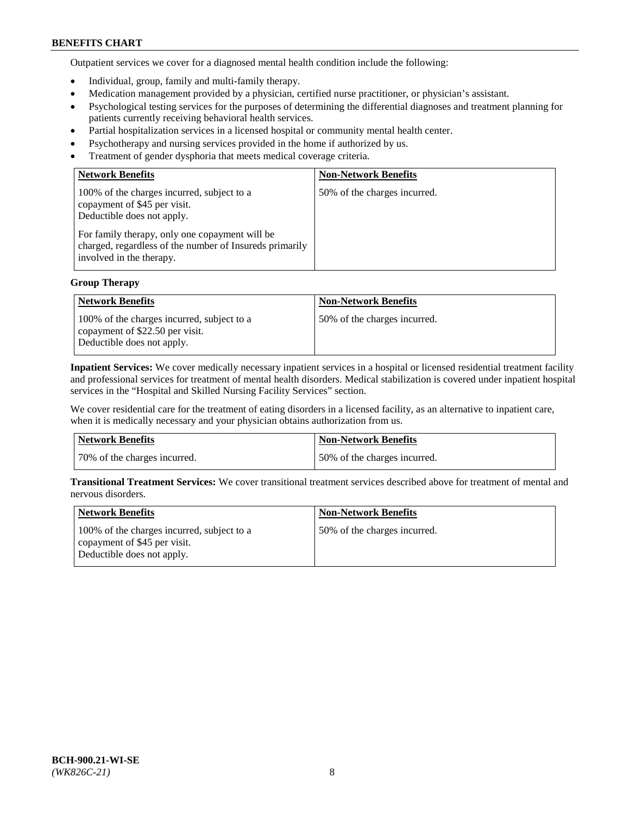Outpatient services we cover for a diagnosed mental health condition include the following:

- Individual, group, family and multi-family therapy.
- Medication management provided by a physician, certified nurse practitioner, or physician's assistant.
- Psychological testing services for the purposes of determining the differential diagnoses and treatment planning for patients currently receiving behavioral health services.
- Partial hospitalization services in a licensed hospital or community mental health center.
- Psychotherapy and nursing services provided in the home if authorized by us.
- Treatment of gender dysphoria that meets medical coverage criteria.

| <b>Network Benefits</b>                                                                                                                                                                                                                           | <b>Non-Network Benefits</b>  |
|---------------------------------------------------------------------------------------------------------------------------------------------------------------------------------------------------------------------------------------------------|------------------------------|
| 100% of the charges incurred, subject to a<br>copayment of \$45 per visit.<br>Deductible does not apply.<br>For family therapy, only one copayment will be<br>charged, regardless of the number of Insureds primarily<br>involved in the therapy. | 50% of the charges incurred. |

## **Group Therapy**

| <b>Network Benefits</b>                                                                                     | <b>Non-Network Benefits</b>  |
|-------------------------------------------------------------------------------------------------------------|------------------------------|
| 100% of the charges incurred, subject to a<br>copayment of \$22.50 per visit.<br>Deductible does not apply. | 50% of the charges incurred. |

**Inpatient Services:** We cover medically necessary inpatient services in a hospital or licensed residential treatment facility and professional services for treatment of mental health disorders. Medical stabilization is covered under inpatient hospital services in the "Hospital and Skilled Nursing Facility Services" section.

We cover residential care for the treatment of eating disorders in a licensed facility, as an alternative to inpatient care, when it is medically necessary and your physician obtains authorization from us.

| Network Benefits             | Non-Network Benefits         |
|------------------------------|------------------------------|
| 70% of the charges incurred. | 50% of the charges incurred. |

**Transitional Treatment Services:** We cover transitional treatment services described above for treatment of mental and nervous disorders.

| <b>Network Benefits</b>                                                                                  | <b>Non-Network Benefits</b>  |
|----------------------------------------------------------------------------------------------------------|------------------------------|
| 100% of the charges incurred, subject to a<br>copayment of \$45 per visit.<br>Deductible does not apply. | 50% of the charges incurred. |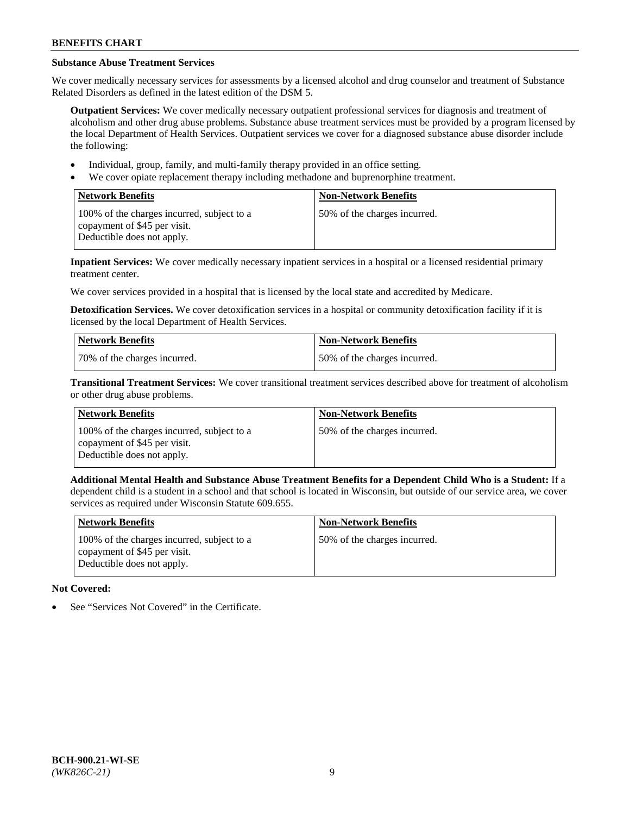# **Substance Abuse Treatment Services**

We cover medically necessary services for assessments by a licensed alcohol and drug counselor and treatment of Substance Related Disorders as defined in the latest edition of the DSM 5.

**Outpatient Services:** We cover medically necessary outpatient professional services for diagnosis and treatment of alcoholism and other drug abuse problems. Substance abuse treatment services must be provided by a program licensed by the local Department of Health Services. Outpatient services we cover for a diagnosed substance abuse disorder include the following:

- Individual, group, family, and multi-family therapy provided in an office setting.
- We cover opiate replacement therapy including methadone and buprenorphine treatment.

| <b>Network Benefits</b>                                                                                  | <b>Non-Network Benefits</b>  |
|----------------------------------------------------------------------------------------------------------|------------------------------|
| 100% of the charges incurred, subject to a<br>copayment of \$45 per visit.<br>Deductible does not apply. | 50% of the charges incurred. |

**Inpatient Services:** We cover medically necessary inpatient services in a hospital or a licensed residential primary treatment center.

We cover services provided in a hospital that is licensed by the local state and accredited by Medicare.

**Detoxification Services.** We cover detoxification services in a hospital or community detoxification facility if it is licensed by the local Department of Health Services.

| Network Benefits             | <b>Non-Network Benefits</b>  |
|------------------------------|------------------------------|
| 70% of the charges incurred. | 50% of the charges incurred. |

**Transitional Treatment Services:** We cover transitional treatment services described above for treatment of alcoholism or other drug abuse problems.

| <b>Network Benefits</b>                                                                                  | <b>Non-Network Benefits</b>  |
|----------------------------------------------------------------------------------------------------------|------------------------------|
| 100% of the charges incurred, subject to a<br>copayment of \$45 per visit.<br>Deductible does not apply. | 50% of the charges incurred. |

**Additional Mental Health and Substance Abuse Treatment Benefits for a Dependent Child Who is a Student:** If a dependent child is a student in a school and that school is located in Wisconsin, but outside of our service area, we cover services as required under Wisconsin Statute 609.655.

| <b>Network Benefits</b>                                                                                  | <b>Non-Network Benefits</b>  |
|----------------------------------------------------------------------------------------------------------|------------------------------|
| 100% of the charges incurred, subject to a<br>copayment of \$45 per visit.<br>Deductible does not apply. | 50% of the charges incurred. |

# **Not Covered:**

See "Services Not Covered" in the Certificate.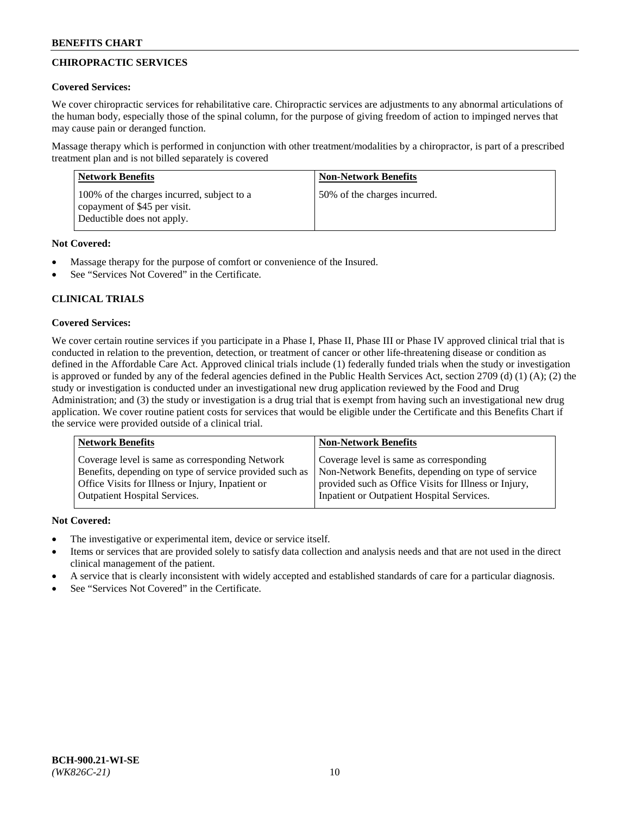# **CHIROPRACTIC SERVICES**

## **Covered Services:**

We cover chiropractic services for rehabilitative care. Chiropractic services are adjustments to any abnormal articulations of the human body, especially those of the spinal column, for the purpose of giving freedom of action to impinged nerves that may cause pain or deranged function.

Massage therapy which is performed in conjunction with other treatment/modalities by a chiropractor, is part of a prescribed treatment plan and is not billed separately is covered

| <b>Network Benefits</b>                                                                                  | <b>Non-Network Benefits</b>  |
|----------------------------------------------------------------------------------------------------------|------------------------------|
| 100% of the charges incurred, subject to a<br>copayment of \$45 per visit.<br>Deductible does not apply. | 50% of the charges incurred. |

# **Not Covered:**

- Massage therapy for the purpose of comfort or convenience of the Insured.
- See "Services Not Covered" in the Certificate.

# **CLINICAL TRIALS**

# **Covered Services:**

We cover certain routine services if you participate in a Phase I, Phase II, Phase III or Phase IV approved clinical trial that is conducted in relation to the prevention, detection, or treatment of cancer or other life-threatening disease or condition as defined in the Affordable Care Act. Approved clinical trials include (1) federally funded trials when the study or investigation is approved or funded by any of the federal agencies defined in the Public Health Services Act, section 2709 (d) (1) (A); (2) the study or investigation is conducted under an investigational new drug application reviewed by the Food and Drug Administration; and (3) the study or investigation is a drug trial that is exempt from having such an investigational new drug application. We cover routine patient costs for services that would be eligible under the Certificate and this Benefits Chart if the service were provided outside of a clinical trial.

| <b>Network Benefits</b>                                 | <b>Non-Network Benefits</b>                           |
|---------------------------------------------------------|-------------------------------------------------------|
| Coverage level is same as corresponding Network         | Coverage level is same as corresponding               |
| Benefits, depending on type of service provided such as | Non-Network Benefits, depending on type of service    |
| Office Visits for Illness or Injury, Inpatient or       | provided such as Office Visits for Illness or Injury, |
| Outpatient Hospital Services.                           | Inpatient or Outpatient Hospital Services.            |

# **Not Covered:**

- The investigative or experimental item, device or service itself.
- Items or services that are provided solely to satisfy data collection and analysis needs and that are not used in the direct clinical management of the patient.
- A service that is clearly inconsistent with widely accepted and established standards of care for a particular diagnosis.
- See "Services Not Covered" in the Certificate.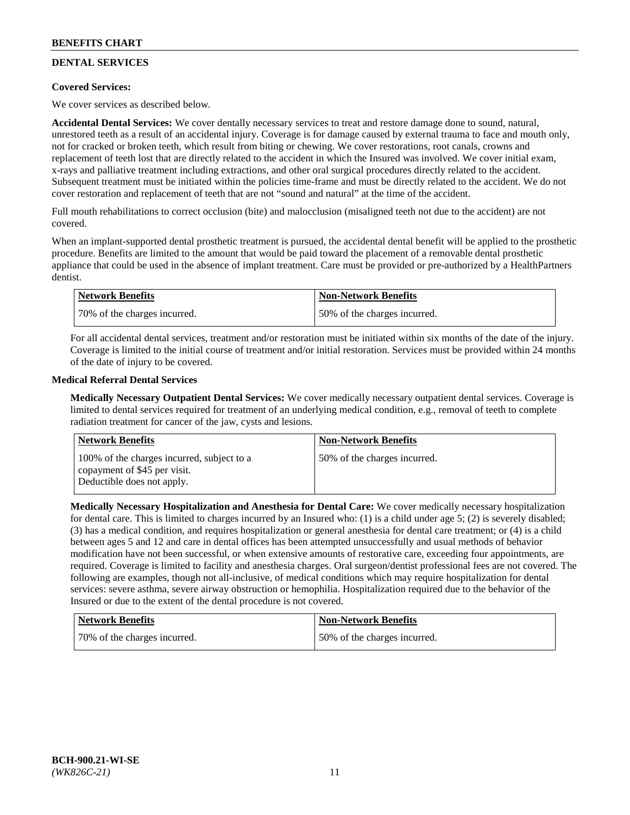# **DENTAL SERVICES**

## **Covered Services:**

We cover services as described below.

**Accidental Dental Services:** We cover dentally necessary services to treat and restore damage done to sound, natural, unrestored teeth as a result of an accidental injury. Coverage is for damage caused by external trauma to face and mouth only, not for cracked or broken teeth, which result from biting or chewing. We cover restorations, root canals, crowns and replacement of teeth lost that are directly related to the accident in which the Insured was involved. We cover initial exam, x-rays and palliative treatment including extractions, and other oral surgical procedures directly related to the accident. Subsequent treatment must be initiated within the policies time-frame and must be directly related to the accident. We do not cover restoration and replacement of teeth that are not "sound and natural" at the time of the accident.

Full mouth rehabilitations to correct occlusion (bite) and malocclusion (misaligned teeth not due to the accident) are not covered.

When an implant-supported dental prosthetic treatment is pursued, the accidental dental benefit will be applied to the prosthetic procedure. Benefits are limited to the amount that would be paid toward the placement of a removable dental prosthetic appliance that could be used in the absence of implant treatment. Care must be provided or pre-authorized by a HealthPartners dentist.

| <b>Network Benefits</b>      | <b>Non-Network Benefits</b>  |
|------------------------------|------------------------------|
| 70% of the charges incurred. | 50% of the charges incurred. |

For all accidental dental services, treatment and/or restoration must be initiated within six months of the date of the injury. Coverage is limited to the initial course of treatment and/or initial restoration. Services must be provided within 24 months of the date of injury to be covered.

## **Medical Referral Dental Services**

**Medically Necessary Outpatient Dental Services:** We cover medically necessary outpatient dental services. Coverage is limited to dental services required for treatment of an underlying medical condition, e.g., removal of teeth to complete radiation treatment for cancer of the jaw, cysts and lesions.

| Network Benefits                                                                                         | <b>Non-Network Benefits</b>  |
|----------------------------------------------------------------------------------------------------------|------------------------------|
| 100% of the charges incurred, subject to a<br>copayment of \$45 per visit.<br>Deductible does not apply. | 50% of the charges incurred. |

**Medically Necessary Hospitalization and Anesthesia for Dental Care:** We cover medically necessary hospitalization for dental care. This is limited to charges incurred by an Insured who: (1) is a child under age 5; (2) is severely disabled; (3) has a medical condition, and requires hospitalization or general anesthesia for dental care treatment; or (4) is a child between ages 5 and 12 and care in dental offices has been attempted unsuccessfully and usual methods of behavior modification have not been successful, or when extensive amounts of restorative care, exceeding four appointments, are required. Coverage is limited to facility and anesthesia charges. Oral surgeon/dentist professional fees are not covered. The following are examples, though not all-inclusive, of medical conditions which may require hospitalization for dental services: severe asthma, severe airway obstruction or hemophilia. Hospitalization required due to the behavior of the Insured or due to the extent of the dental procedure is not covered.

| Network Benefits             | Non-Network Benefits         |
|------------------------------|------------------------------|
| 70% of the charges incurred. | 50% of the charges incurred. |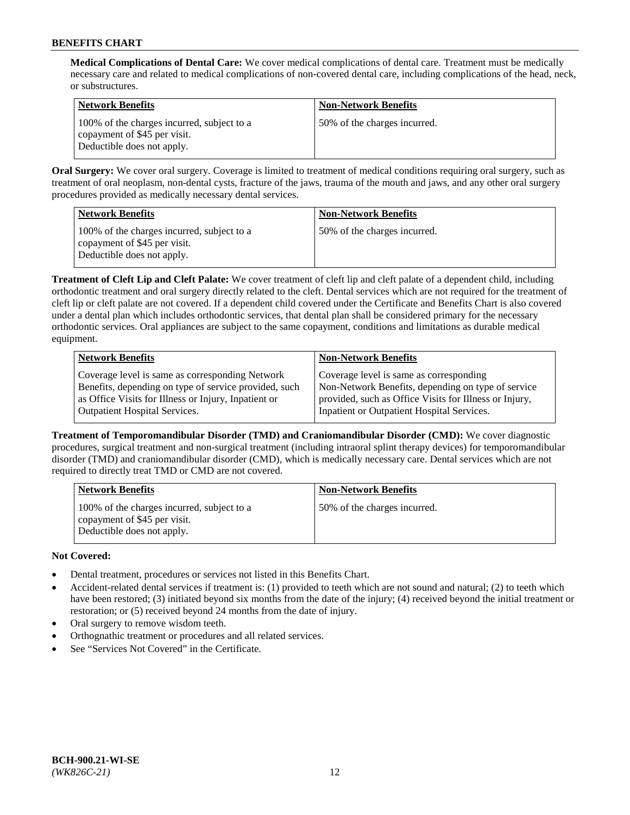**Medical Complications of Dental Care:** We cover medical complications of dental care. Treatment must be medically necessary care and related to medical complications of non-covered dental care, including complications of the head, neck, or substructures.

| <b>Network Benefits</b>                                                                                  | <b>Non-Network Benefits</b>  |
|----------------------------------------------------------------------------------------------------------|------------------------------|
| 100% of the charges incurred, subject to a<br>copayment of \$45 per visit.<br>Deductible does not apply. | 50% of the charges incurred. |

**Oral Surgery:** We cover oral surgery. Coverage is limited to treatment of medical conditions requiring oral surgery, such as treatment of oral neoplasm, non-dental cysts, fracture of the jaws, trauma of the mouth and jaws, and any other oral surgery procedures provided as medically necessary dental services.

| <b>Network Benefits</b>                                                                                  | <b>Non-Network Benefits</b>  |
|----------------------------------------------------------------------------------------------------------|------------------------------|
| 100% of the charges incurred, subject to a<br>copayment of \$45 per visit.<br>Deductible does not apply. | 50% of the charges incurred. |

**Treatment of Cleft Lip and Cleft Palate:** We cover treatment of cleft lip and cleft palate of a dependent child, including orthodontic treatment and oral surgery directly related to the cleft. Dental services which are not required for the treatment of cleft lip or cleft palate are not covered. If a dependent child covered under the Certificate and Benefits Chart is also covered under a dental plan which includes orthodontic services, that dental plan shall be considered primary for the necessary orthodontic services. Oral appliances are subject to the same copayment, conditions and limitations as durable medical equipment.

| <b>Network Benefits</b>                               | <b>Non-Network Benefits</b>                            |
|-------------------------------------------------------|--------------------------------------------------------|
| Coverage level is same as corresponding Network       | Coverage level is same as corresponding                |
| Benefits, depending on type of service provided, such | Non-Network Benefits, depending on type of service     |
| as Office Visits for Illness or Injury, Inpatient or  | provided, such as Office Visits for Illness or Injury, |
| Outpatient Hospital Services.                         | Inpatient or Outpatient Hospital Services.             |

**Treatment of Temporomandibular Disorder (TMD) and Craniomandibular Disorder (CMD):** We cover diagnostic procedures, surgical treatment and non-surgical treatment (including intraoral splint therapy devices) for temporomandibular disorder (TMD) and craniomandibular disorder (CMD), which is medically necessary care. Dental services which are not required to directly treat TMD or CMD are not covered.

| <b>Network Benefits</b>                                                                                  | <b>Non-Network Benefits</b>  |
|----------------------------------------------------------------------------------------------------------|------------------------------|
| 100% of the charges incurred, subject to a<br>copayment of \$45 per visit.<br>Deductible does not apply. | 50% of the charges incurred. |

# **Not Covered:**

- Dental treatment, procedures or services not listed in this Benefits Chart.
- Accident-related dental services if treatment is: (1) provided to teeth which are not sound and natural; (2) to teeth which have been restored; (3) initiated beyond six months from the date of the injury; (4) received beyond the initial treatment or restoration; or (5) received beyond 24 months from the date of injury.
- Oral surgery to remove wisdom teeth.
- Orthognathic treatment or procedures and all related services.
- See "Services Not Covered" in the Certificate.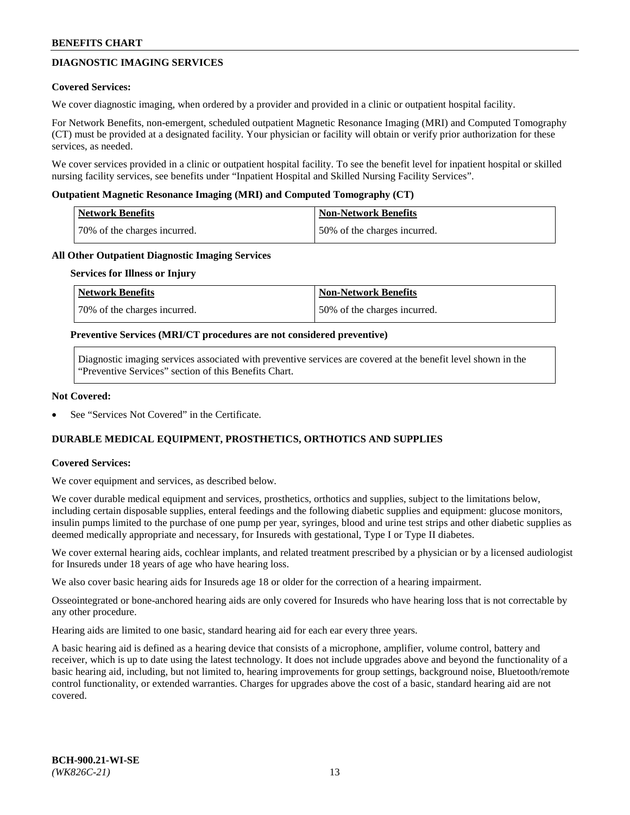# **DIAGNOSTIC IMAGING SERVICES**

### **Covered Services:**

We cover diagnostic imaging, when ordered by a provider and provided in a clinic or outpatient hospital facility.

For Network Benefits, non-emergent, scheduled outpatient Magnetic Resonance Imaging (MRI) and Computed Tomography (CT) must be provided at a designated facility. Your physician or facility will obtain or verify prior authorization for these services, as needed.

We cover services provided in a clinic or outpatient hospital facility. To see the benefit level for inpatient hospital or skilled nursing facility services, see benefits under "Inpatient Hospital and Skilled Nursing Facility Services".

### **Outpatient Magnetic Resonance Imaging (MRI) and Computed Tomography (CT)**

| <b>Network Benefits</b>      | <b>Non-Network Benefits</b>  |
|------------------------------|------------------------------|
| 70% of the charges incurred. | 50% of the charges incurred. |

### **All Other Outpatient Diagnostic Imaging Services**

#### **Services for Illness or Injury**

| Network Benefits             | <b>Non-Network Benefits</b>  |
|------------------------------|------------------------------|
| 70% of the charges incurred. | 50% of the charges incurred. |

### **Preventive Services (MRI/CT procedures are not considered preventive)**

Diagnostic imaging services associated with preventive services are covered at the benefit level shown in the "Preventive Services" section of this Benefits Chart.

### **Not Covered:**

See "Services Not Covered" in the Certificate.

# **DURABLE MEDICAL EQUIPMENT, PROSTHETICS, ORTHOTICS AND SUPPLIES**

#### **Covered Services:**

We cover equipment and services, as described below.

We cover durable medical equipment and services, prosthetics, orthotics and supplies, subject to the limitations below, including certain disposable supplies, enteral feedings and the following diabetic supplies and equipment: glucose monitors, insulin pumps limited to the purchase of one pump per year, syringes, blood and urine test strips and other diabetic supplies as deemed medically appropriate and necessary, for Insureds with gestational, Type I or Type II diabetes.

We cover external hearing aids, cochlear implants, and related treatment prescribed by a physician or by a licensed audiologist for Insureds under 18 years of age who have hearing loss.

We also cover basic hearing aids for Insureds age 18 or older for the correction of a hearing impairment.

Osseointegrated or bone-anchored hearing aids are only covered for Insureds who have hearing loss that is not correctable by any other procedure.

Hearing aids are limited to one basic, standard hearing aid for each ear every three years.

A basic hearing aid is defined as a hearing device that consists of a microphone, amplifier, volume control, battery and receiver, which is up to date using the latest technology. It does not include upgrades above and beyond the functionality of a basic hearing aid, including, but not limited to, hearing improvements for group settings, background noise, Bluetooth/remote control functionality, or extended warranties. Charges for upgrades above the cost of a basic, standard hearing aid are not covered.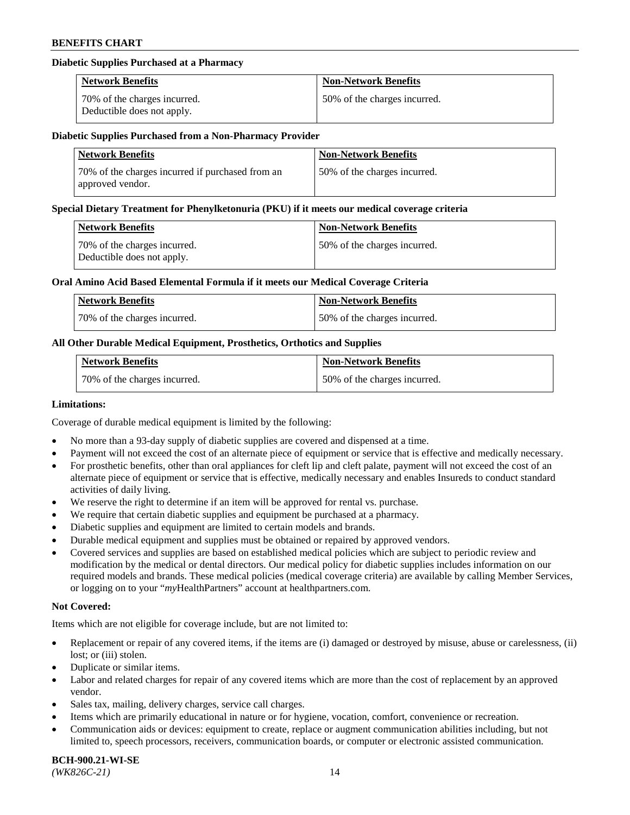## **Diabetic Supplies Purchased at a Pharmacy**

| <b>Network Benefits</b>                                    | <b>Non-Network Benefits</b>  |
|------------------------------------------------------------|------------------------------|
| 70% of the charges incurred.<br>Deductible does not apply. | 50% of the charges incurred. |

### **Diabetic Supplies Purchased from a Non-Pharmacy Provider**

| <b>Network Benefits</b>                                              | <b>Non-Network Benefits</b>  |
|----------------------------------------------------------------------|------------------------------|
| 70% of the charges incurred if purchased from an<br>approved vendor. | 50% of the charges incurred. |

### **Special Dietary Treatment for Phenylketonuria (PKU) if it meets our medical coverage criteria**

| Network Benefits                                           | <b>Non-Network Benefits</b>  |
|------------------------------------------------------------|------------------------------|
| 70% of the charges incurred.<br>Deductible does not apply. | 50% of the charges incurred. |

### **Oral Amino Acid Based Elemental Formula if it meets our Medical Coverage Criteria**

| Network Benefits             | <b>Non-Network Benefits</b>  |
|------------------------------|------------------------------|
| 70% of the charges incurred. | 50% of the charges incurred. |

## **All Other Durable Medical Equipment, Prosthetics, Orthotics and Supplies**

| <b>Network Benefits</b>      | <b>Non-Network Benefits</b>  |
|------------------------------|------------------------------|
| 70% of the charges incurred. | 50% of the charges incurred. |

### **Limitations:**

Coverage of durable medical equipment is limited by the following:

- No more than a 93-day supply of diabetic supplies are covered and dispensed at a time.
- Payment will not exceed the cost of an alternate piece of equipment or service that is effective and medically necessary.
- For prosthetic benefits, other than oral appliances for cleft lip and cleft palate, payment will not exceed the cost of an alternate piece of equipment or service that is effective, medically necessary and enables Insureds to conduct standard
- activities of daily living. We reserve the right to determine if an item will be approved for rental vs. purchase.
- We require that certain diabetic supplies and equipment be purchased at a pharmacy.
- Diabetic supplies and equipment are limited to certain models and brands.
- Durable medical equipment and supplies must be obtained or repaired by approved vendors.
- Covered services and supplies are based on established medical policies which are subject to periodic review and modification by the medical or dental directors. Our medical policy for diabetic supplies includes information on our required models and brands. These medical policies (medical coverage criteria) are available by calling Member Services, or logging on to your "*my*HealthPartners" account a[t healthpartners.com.](https://www.healthpartners.com/hp/index.html)

### **Not Covered:**

Items which are not eligible for coverage include, but are not limited to:

- Replacement or repair of any covered items, if the items are (i) damaged or destroyed by misuse, abuse or carelessness, (ii) lost; or (iii) stolen.
- Duplicate or similar items.
- Labor and related charges for repair of any covered items which are more than the cost of replacement by an approved vendor.
- Sales tax, mailing, delivery charges, service call charges.
- Items which are primarily educational in nature or for hygiene, vocation, comfort, convenience or recreation.
- Communication aids or devices: equipment to create, replace or augment communication abilities including, but not limited to, speech processors, receivers, communication boards, or computer or electronic assisted communication.

#### **BCH-900.21-WI-SE**  *(WK826C-21)* 14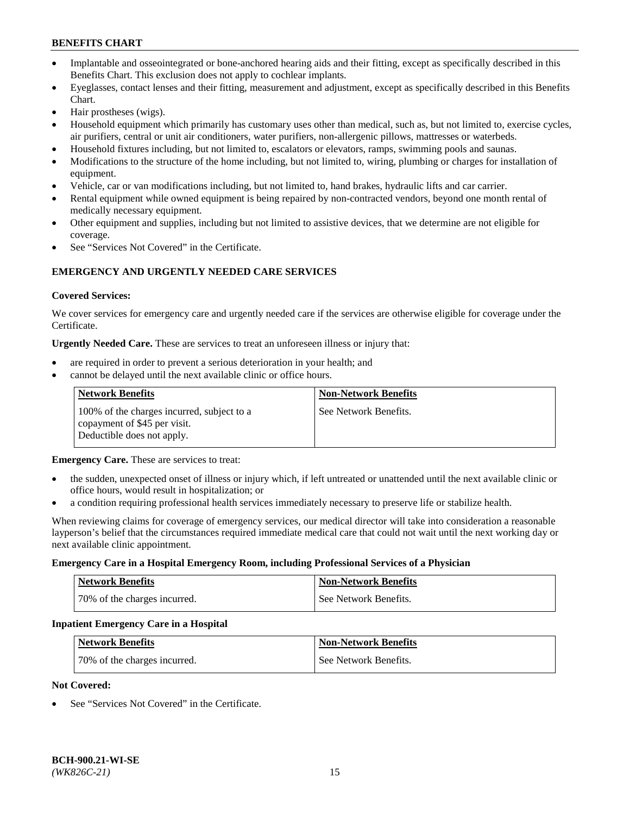- Implantable and osseointegrated or bone-anchored hearing aids and their fitting, except as specifically described in this Benefits Chart. This exclusion does not apply to cochlear implants.
- Eyeglasses, contact lenses and their fitting, measurement and adjustment, except as specifically described in this Benefits Chart.
- Hair prostheses (wigs).
- Household equipment which primarily has customary uses other than medical, such as, but not limited to, exercise cycles, air purifiers, central or unit air conditioners, water purifiers, non-allergenic pillows, mattresses or waterbeds.
- Household fixtures including, but not limited to, escalators or elevators, ramps, swimming pools and saunas.
- Modifications to the structure of the home including, but not limited to, wiring, plumbing or charges for installation of equipment.
- Vehicle, car or van modifications including, but not limited to, hand brakes, hydraulic lifts and car carrier.
- Rental equipment while owned equipment is being repaired by non-contracted vendors, beyond one month rental of medically necessary equipment.
- Other equipment and supplies, including but not limited to assistive devices, that we determine are not eligible for coverage.
- See "Services Not Covered" in the Certificate.

# **EMERGENCY AND URGENTLY NEEDED CARE SERVICES**

### **Covered Services:**

We cover services for emergency care and urgently needed care if the services are otherwise eligible for coverage under the Certificate.

**Urgently Needed Care.** These are services to treat an unforeseen illness or injury that:

- are required in order to prevent a serious deterioration in your health; and
- cannot be delayed until the next available clinic or office hours.

| <b>Network Benefits</b>                                                                                  | <b>Non-Network Benefits</b> |
|----------------------------------------------------------------------------------------------------------|-----------------------------|
| 100% of the charges incurred, subject to a<br>copayment of \$45 per visit.<br>Deductible does not apply. | See Network Benefits.       |

**Emergency Care.** These are services to treat:

- the sudden, unexpected onset of illness or injury which, if left untreated or unattended until the next available clinic or office hours, would result in hospitalization; or
- a condition requiring professional health services immediately necessary to preserve life or stabilize health.

When reviewing claims for coverage of emergency services, our medical director will take into consideration a reasonable layperson's belief that the circumstances required immediate medical care that could not wait until the next working day or next available clinic appointment.

#### **Emergency Care in a Hospital Emergency Room, including Professional Services of a Physician**

| <b>Network Benefits</b>      | <b>Non-Network Benefits</b> |
|------------------------------|-----------------------------|
| 70% of the charges incurred. | See Network Benefits.       |

#### **Inpatient Emergency Care in a Hospital**

| <b>Network Benefits</b>      | <b>Non-Network Benefits</b> |
|------------------------------|-----------------------------|
| 70% of the charges incurred. | See Network Benefits.       |

### **Not Covered:**

See "Services Not Covered" in the Certificate.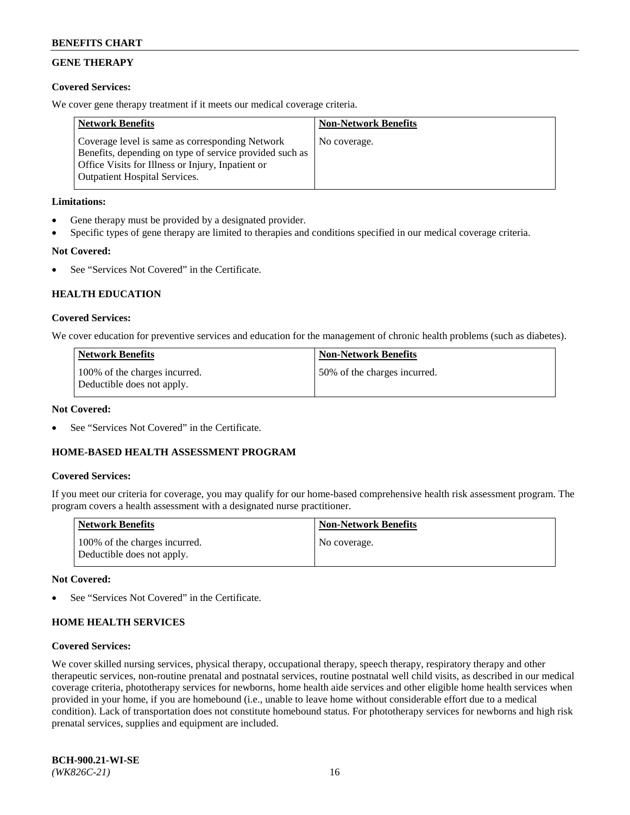# **GENE THERAPY**

## **Covered Services:**

We cover gene therapy treatment if it meets our medical coverage criteria.

| <b>Network Benefits</b>                                                                                                                                                                                 | <b>Non-Network Benefits</b> |
|---------------------------------------------------------------------------------------------------------------------------------------------------------------------------------------------------------|-----------------------------|
| Coverage level is same as corresponding Network<br>Benefits, depending on type of service provided such as<br>Office Visits for Illness or Injury, Inpatient or<br><b>Outpatient Hospital Services.</b> | No coverage.                |

## **Limitations:**

- Gene therapy must be provided by a designated provider.
- Specific types of gene therapy are limited to therapies and conditions specified in our medical coverage criteria.

# **Not Covered:**

See "Services Not Covered" in the Certificate.

# **HEALTH EDUCATION**

## **Covered Services:**

We cover education for preventive services and education for the management of chronic health problems (such as diabetes).

| <b>Network Benefits</b>                                     | <b>Non-Network Benefits</b>  |
|-------------------------------------------------------------|------------------------------|
| 100% of the charges incurred.<br>Deductible does not apply. | 50% of the charges incurred. |

## **Not Covered:**

See "Services Not Covered" in the Certificate.

## **HOME-BASED HEALTH ASSESSMENT PROGRAM**

## **Covered Services:**

If you meet our criteria for coverage, you may qualify for our home-based comprehensive health risk assessment program. The program covers a health assessment with a designated nurse practitioner.

| Network Benefits                                            | <b>Non-Network Benefits</b> |
|-------------------------------------------------------------|-----------------------------|
| 100% of the charges incurred.<br>Deductible does not apply. | No coverage.                |

#### **Not Covered:**

See "Services Not Covered" in the Certificate.

## **HOME HEALTH SERVICES**

### **Covered Services:**

We cover skilled nursing services, physical therapy, occupational therapy, speech therapy, respiratory therapy and other therapeutic services, non-routine prenatal and postnatal services, routine postnatal well child visits, as described in our medical coverage criteria, phototherapy services for newborns, home health aide services and other eligible home health services when provided in your home, if you are homebound (i.e., unable to leave home without considerable effort due to a medical condition). Lack of transportation does not constitute homebound status. For phototherapy services for newborns and high risk prenatal services, supplies and equipment are included.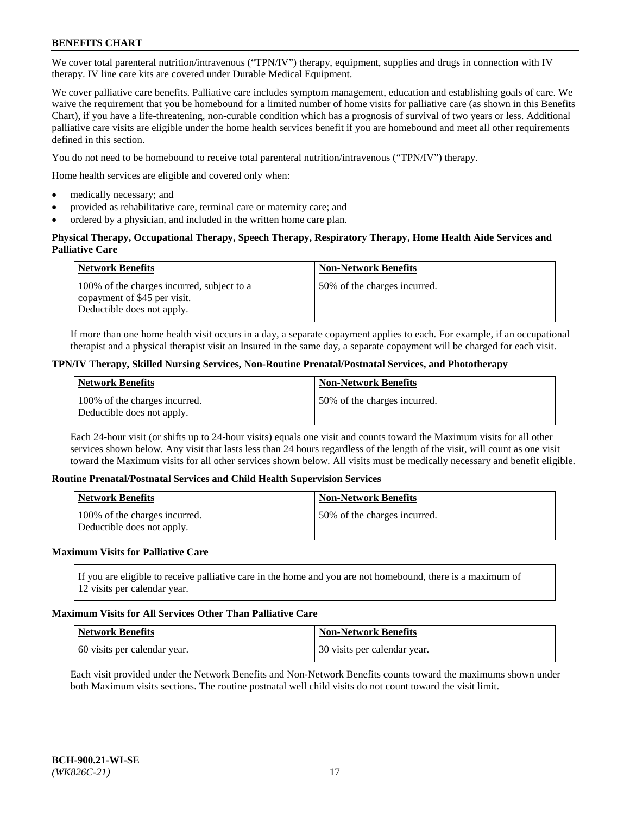We cover total parenteral nutrition/intravenous ("TPN/IV") therapy, equipment, supplies and drugs in connection with IV therapy. IV line care kits are covered under Durable Medical Equipment.

We cover palliative care benefits. Palliative care includes symptom management, education and establishing goals of care. We waive the requirement that you be homebound for a limited number of home visits for palliative care (as shown in this Benefits Chart), if you have a life-threatening, non-curable condition which has a prognosis of survival of two years or less. Additional palliative care visits are eligible under the home health services benefit if you are homebound and meet all other requirements defined in this section.

You do not need to be homebound to receive total parenteral nutrition/intravenous ("TPN/IV") therapy.

Home health services are eligible and covered only when:

- medically necessary; and
- provided as rehabilitative care, terminal care or maternity care; and
- ordered by a physician, and included in the written home care plan.

## **Physical Therapy, Occupational Therapy, Speech Therapy, Respiratory Therapy, Home Health Aide Services and Palliative Care**

| <b>Network Benefits</b>                                                                                  | <b>Non-Network Benefits</b>  |
|----------------------------------------------------------------------------------------------------------|------------------------------|
| 100% of the charges incurred, subject to a<br>copayment of \$45 per visit.<br>Deductible does not apply. | 50% of the charges incurred. |

If more than one home health visit occurs in a day, a separate copayment applies to each. For example, if an occupational therapist and a physical therapist visit an Insured in the same day, a separate copayment will be charged for each visit.

### **TPN/IV Therapy, Skilled Nursing Services, Non-Routine Prenatal/Postnatal Services, and Phototherapy**

| Network Benefits                                            | <b>Non-Network Benefits</b>  |
|-------------------------------------------------------------|------------------------------|
| 100% of the charges incurred.<br>Deductible does not apply. | 50% of the charges incurred. |

Each 24-hour visit (or shifts up to 24-hour visits) equals one visit and counts toward the Maximum visits for all other services shown below. Any visit that lasts less than 24 hours regardless of the length of the visit, will count as one visit toward the Maximum visits for all other services shown below. All visits must be medically necessary and benefit eligible.

### **Routine Prenatal/Postnatal Services and Child Health Supervision Services**

| <b>Network Benefits</b>                                     | <b>Non-Network Benefits</b>   |
|-------------------------------------------------------------|-------------------------------|
| 100% of the charges incurred.<br>Deductible does not apply. | 150% of the charges incurred. |

## **Maximum Visits for Palliative Care**

If you are eligible to receive palliative care in the home and you are not homebound, there is a maximum of 12 visits per calendar year.

#### **Maximum Visits for All Services Other Than Palliative Care**

| Network Benefits             | <b>Non-Network Benefits</b>  |
|------------------------------|------------------------------|
| 60 visits per calendar year. | 30 visits per calendar year. |

Each visit provided under the Network Benefits and Non-Network Benefits counts toward the maximums shown under both Maximum visits sections. The routine postnatal well child visits do not count toward the visit limit.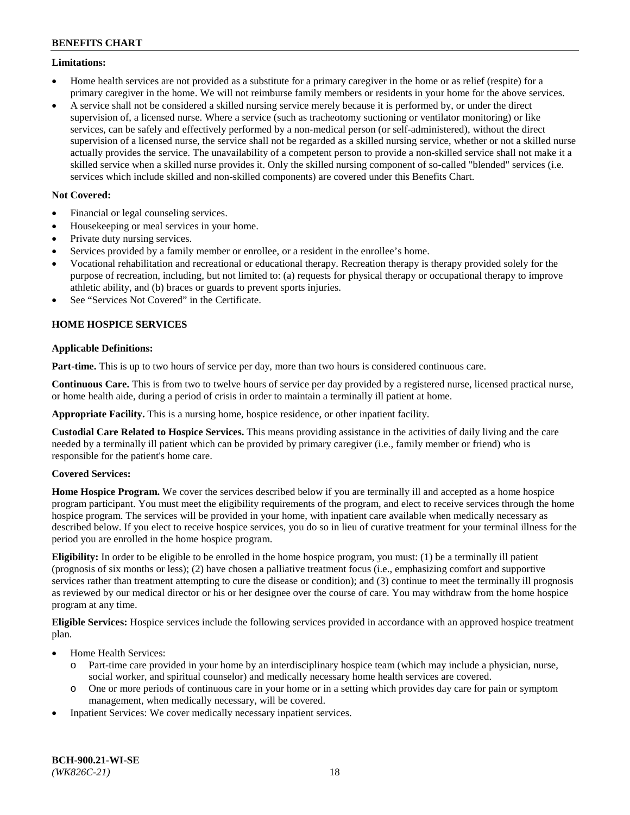## **Limitations:**

- Home health services are not provided as a substitute for a primary caregiver in the home or as relief (respite) for a primary caregiver in the home. We will not reimburse family members or residents in your home for the above services.
- A service shall not be considered a skilled nursing service merely because it is performed by, or under the direct supervision of, a licensed nurse. Where a service (such as tracheotomy suctioning or ventilator monitoring) or like services, can be safely and effectively performed by a non-medical person (or self-administered), without the direct supervision of a licensed nurse, the service shall not be regarded as a skilled nursing service, whether or not a skilled nurse actually provides the service. The unavailability of a competent person to provide a non-skilled service shall not make it a skilled service when a skilled nurse provides it. Only the skilled nursing component of so-called "blended" services (i.e. services which include skilled and non-skilled components) are covered under this Benefits Chart.

## **Not Covered:**

- Financial or legal counseling services.
- Housekeeping or meal services in your home.
- Private duty nursing services.
- Services provided by a family member or enrollee, or a resident in the enrollee's home.
- Vocational rehabilitation and recreational or educational therapy. Recreation therapy is therapy provided solely for the purpose of recreation, including, but not limited to: (a) requests for physical therapy or occupational therapy to improve athletic ability, and (b) braces or guards to prevent sports injuries.
- See "Services Not Covered" in the Certificate.

# **HOME HOSPICE SERVICES**

## **Applicable Definitions:**

**Part-time.** This is up to two hours of service per day, more than two hours is considered continuous care.

**Continuous Care.** This is from two to twelve hours of service per day provided by a registered nurse, licensed practical nurse, or home health aide, during a period of crisis in order to maintain a terminally ill patient at home.

**Appropriate Facility.** This is a nursing home, hospice residence, or other inpatient facility.

**Custodial Care Related to Hospice Services.** This means providing assistance in the activities of daily living and the care needed by a terminally ill patient which can be provided by primary caregiver (i.e., family member or friend) who is responsible for the patient's home care.

## **Covered Services:**

**Home Hospice Program.** We cover the services described below if you are terminally ill and accepted as a home hospice program participant. You must meet the eligibility requirements of the program, and elect to receive services through the home hospice program. The services will be provided in your home, with inpatient care available when medically necessary as described below. If you elect to receive hospice services, you do so in lieu of curative treatment for your terminal illness for the period you are enrolled in the home hospice program.

**Eligibility:** In order to be eligible to be enrolled in the home hospice program, you must: (1) be a terminally ill patient (prognosis of six months or less); (2) have chosen a palliative treatment focus (i.e., emphasizing comfort and supportive services rather than treatment attempting to cure the disease or condition); and (3) continue to meet the terminally ill prognosis as reviewed by our medical director or his or her designee over the course of care. You may withdraw from the home hospice program at any time.

**Eligible Services:** Hospice services include the following services provided in accordance with an approved hospice treatment plan.

- Home Health Services:
	- o Part-time care provided in your home by an interdisciplinary hospice team (which may include a physician, nurse, social worker, and spiritual counselor) and medically necessary home health services are covered.
	- o One or more periods of continuous care in your home or in a setting which provides day care for pain or symptom management, when medically necessary, will be covered.
- Inpatient Services: We cover medically necessary inpatient services.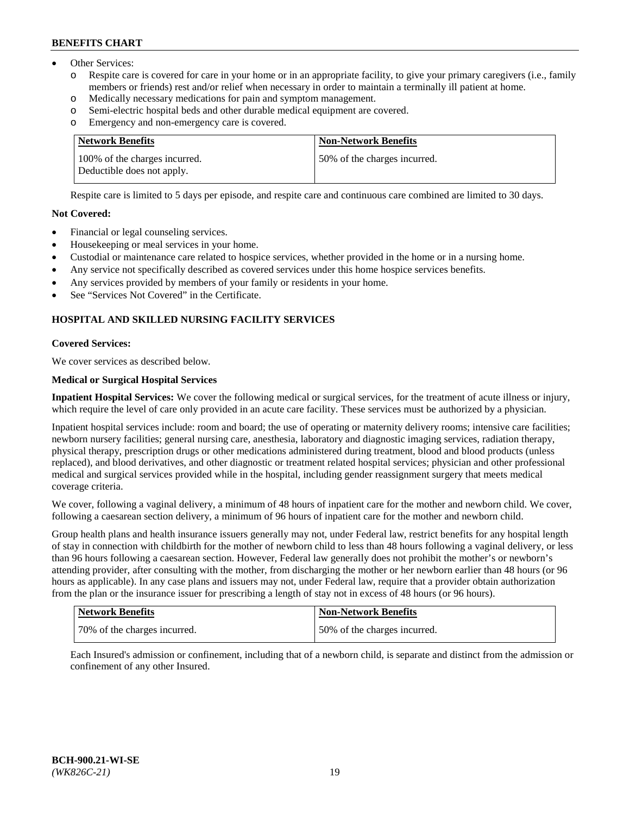- Other Services:
	- Respite care is covered for care in your home or in an appropriate facility, to give your primary caregivers (i.e., family members or friends) rest and/or relief when necessary in order to maintain a terminally ill patient at home.
	- o Medically necessary medications for pain and symptom management.
	- o Semi-electric hospital beds and other durable medical equipment are covered.
	- Emergency and non-emergency care is covered.

| Network Benefits                                            | <b>Non-Network Benefits</b>  |
|-------------------------------------------------------------|------------------------------|
| 100% of the charges incurred.<br>Deductible does not apply. | 50% of the charges incurred. |

Respite care is limited to 5 days per episode, and respite care and continuous care combined are limited to 30 days.

## **Not Covered:**

- Financial or legal counseling services.
- Housekeeping or meal services in your home.
- Custodial or maintenance care related to hospice services, whether provided in the home or in a nursing home.
- Any service not specifically described as covered services under this home hospice services benefits.
- Any services provided by members of your family or residents in your home.
- See "Services Not Covered" in the Certificate.

# **HOSPITAL AND SKILLED NURSING FACILITY SERVICES**

### **Covered Services:**

We cover services as described below.

## **Medical or Surgical Hospital Services**

**Inpatient Hospital Services:** We cover the following medical or surgical services, for the treatment of acute illness or injury, which require the level of care only provided in an acute care facility. These services must be authorized by a physician.

Inpatient hospital services include: room and board; the use of operating or maternity delivery rooms; intensive care facilities; newborn nursery facilities; general nursing care, anesthesia, laboratory and diagnostic imaging services, radiation therapy, physical therapy, prescription drugs or other medications administered during treatment, blood and blood products (unless replaced), and blood derivatives, and other diagnostic or treatment related hospital services; physician and other professional medical and surgical services provided while in the hospital, including gender reassignment surgery that meets medical coverage criteria.

We cover, following a vaginal delivery, a minimum of 48 hours of inpatient care for the mother and newborn child. We cover, following a caesarean section delivery, a minimum of 96 hours of inpatient care for the mother and newborn child.

Group health plans and health insurance issuers generally may not, under Federal law, restrict benefits for any hospital length of stay in connection with childbirth for the mother of newborn child to less than 48 hours following a vaginal delivery, or less than 96 hours following a caesarean section. However, Federal law generally does not prohibit the mother's or newborn's attending provider, after consulting with the mother, from discharging the mother or her newborn earlier than 48 hours (or 96 hours as applicable). In any case plans and issuers may not, under Federal law, require that a provider obtain authorization from the plan or the insurance issuer for prescribing a length of stay not in excess of 48 hours (or 96 hours).

| Network Benefits             | Non-Network Benefits         |
|------------------------------|------------------------------|
| 70% of the charges incurred. | 50% of the charges incurred. |

Each Insured's admission or confinement, including that of a newborn child, is separate and distinct from the admission or confinement of any other Insured.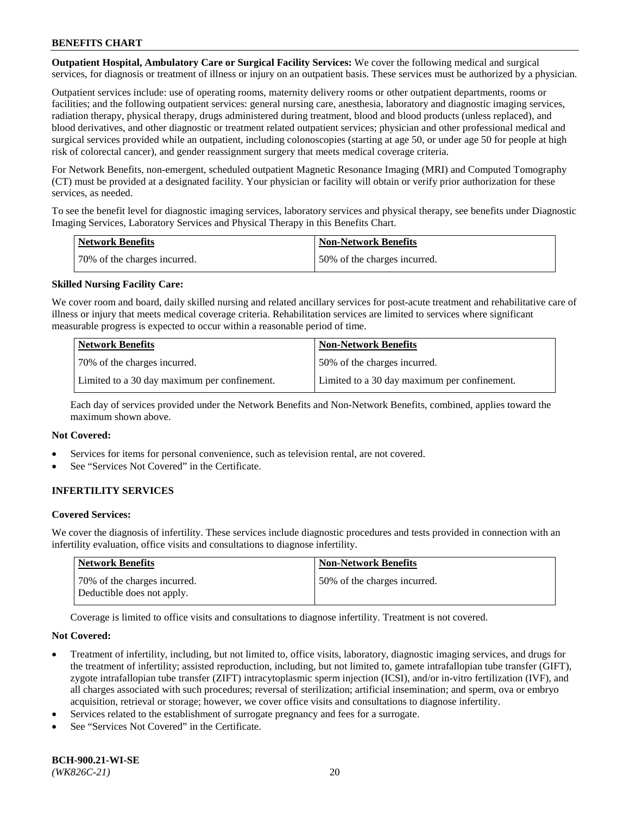**Outpatient Hospital, Ambulatory Care or Surgical Facility Services:** We cover the following medical and surgical services, for diagnosis or treatment of illness or injury on an outpatient basis. These services must be authorized by a physician.

Outpatient services include: use of operating rooms, maternity delivery rooms or other outpatient departments, rooms or facilities; and the following outpatient services: general nursing care, anesthesia, laboratory and diagnostic imaging services, radiation therapy, physical therapy, drugs administered during treatment, blood and blood products (unless replaced), and blood derivatives, and other diagnostic or treatment related outpatient services; physician and other professional medical and surgical services provided while an outpatient, including colonoscopies (starting at age 50, or under age 50 for people at high risk of colorectal cancer), and gender reassignment surgery that meets medical coverage criteria.

For Network Benefits, non-emergent, scheduled outpatient Magnetic Resonance Imaging (MRI) and Computed Tomography (CT) must be provided at a designated facility. Your physician or facility will obtain or verify prior authorization for these services, as needed.

To see the benefit level for diagnostic imaging services, laboratory services and physical therapy, see benefits under Diagnostic Imaging Services, Laboratory Services and Physical Therapy in this Benefits Chart.

| <b>Network Benefits</b>      | <b>Non-Network Benefits</b>  |
|------------------------------|------------------------------|
| 70% of the charges incurred. | 50% of the charges incurred. |

## **Skilled Nursing Facility Care:**

We cover room and board, daily skilled nursing and related ancillary services for post-acute treatment and rehabilitative care of illness or injury that meets medical coverage criteria. Rehabilitation services are limited to services where significant measurable progress is expected to occur within a reasonable period of time.

| <b>Network Benefits</b>                      | <b>Non-Network Benefits</b>                  |
|----------------------------------------------|----------------------------------------------|
| 70\% of the charges incurred.                | 150% of the charges incurred.                |
| Limited to a 30 day maximum per confinement. | Limited to a 30 day maximum per confinement. |

Each day of services provided under the Network Benefits and Non-Network Benefits, combined, applies toward the maximum shown above.

#### **Not Covered:**

- Services for items for personal convenience, such as television rental, are not covered.
- See "Services Not Covered" in the Certificate.

## **INFERTILITY SERVICES**

#### **Covered Services:**

We cover the diagnosis of infertility. These services include diagnostic procedures and tests provided in connection with an infertility evaluation, office visits and consultations to diagnose infertility.

| <b>Network Benefits</b>                                    | <b>Non-Network Benefits</b>  |
|------------------------------------------------------------|------------------------------|
| 70% of the charges incurred.<br>Deductible does not apply. | 50% of the charges incurred. |

Coverage is limited to office visits and consultations to diagnose infertility. Treatment is not covered.

#### **Not Covered:**

- Treatment of infertility, including, but not limited to, office visits, laboratory, diagnostic imaging services, and drugs for the treatment of infertility; assisted reproduction, including, but not limited to, gamete intrafallopian tube transfer (GIFT), zygote intrafallopian tube transfer (ZIFT) intracytoplasmic sperm injection (ICSI), and/or in-vitro fertilization (IVF), and all charges associated with such procedures; reversal of sterilization; artificial insemination; and sperm, ova or embryo acquisition, retrieval or storage; however, we cover office visits and consultations to diagnose infertility.
- Services related to the establishment of surrogate pregnancy and fees for a surrogate.
- See "Services Not Covered" in the Certificate.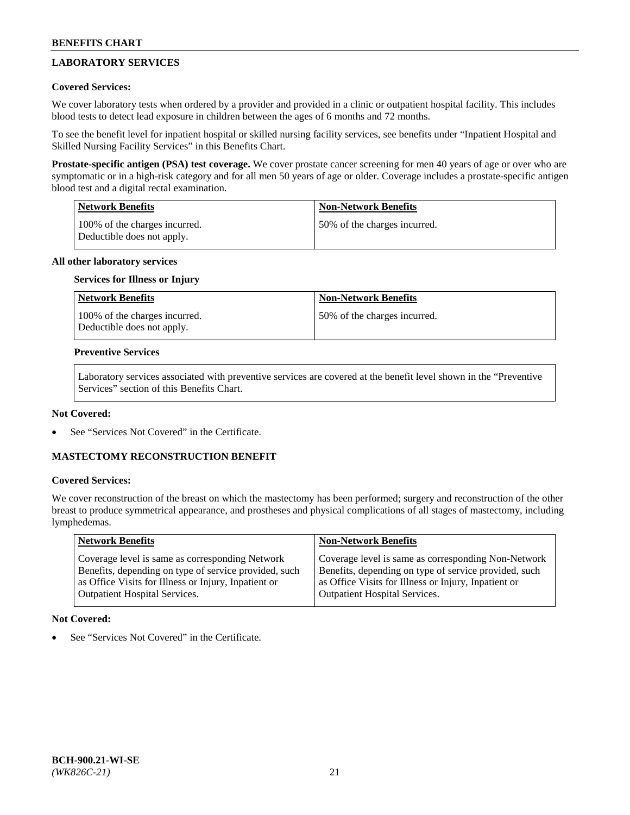# **LABORATORY SERVICES**

## **Covered Services:**

We cover laboratory tests when ordered by a provider and provided in a clinic or outpatient hospital facility. This includes blood tests to detect lead exposure in children between the ages of 6 months and 72 months.

To see the benefit level for inpatient hospital or skilled nursing facility services, see benefits under "Inpatient Hospital and Skilled Nursing Facility Services" in this Benefits Chart.

**Prostate-specific antigen (PSA) test coverage.** We cover prostate cancer screening for men 40 years of age or over who are symptomatic or in a high-risk category and for all men 50 years of age or older. Coverage includes a prostate-specific antigen blood test and a digital rectal examination.

| <b>Network Benefits</b>                                     | <b>Non-Network Benefits</b>  |
|-------------------------------------------------------------|------------------------------|
| 100% of the charges incurred.<br>Deductible does not apply. | 50% of the charges incurred. |

## **All other laboratory services**

### **Services for Illness or Injury**

| <b>Network Benefits</b>                                     | <b>Non-Network Benefits</b>  |
|-------------------------------------------------------------|------------------------------|
| 100% of the charges incurred.<br>Deductible does not apply. | 50% of the charges incurred. |

### **Preventive Services**

Laboratory services associated with preventive services are covered at the benefit level shown in the "Preventive Services" section of this Benefits Chart.

## **Not Covered:**

See "Services Not Covered" in the Certificate.

## **MASTECTOMY RECONSTRUCTION BENEFIT**

### **Covered Services:**

We cover reconstruction of the breast on which the mastectomy has been performed; surgery and reconstruction of the other breast to produce symmetrical appearance, and prostheses and physical complications of all stages of mastectomy, including lymphedemas.

| <b>Network Benefits</b>                               | <b>Non-Network Benefits</b>                           |
|-------------------------------------------------------|-------------------------------------------------------|
| Coverage level is same as corresponding Network       | Coverage level is same as corresponding Non-Network   |
| Benefits, depending on type of service provided, such | Benefits, depending on type of service provided, such |
| as Office Visits for Illness or Injury, Inpatient or  | as Office Visits for Illness or Injury, Inpatient or  |
| <b>Outpatient Hospital Services.</b>                  | Outpatient Hospital Services.                         |

## **Not Covered:**

See "Services Not Covered" in the Certificate.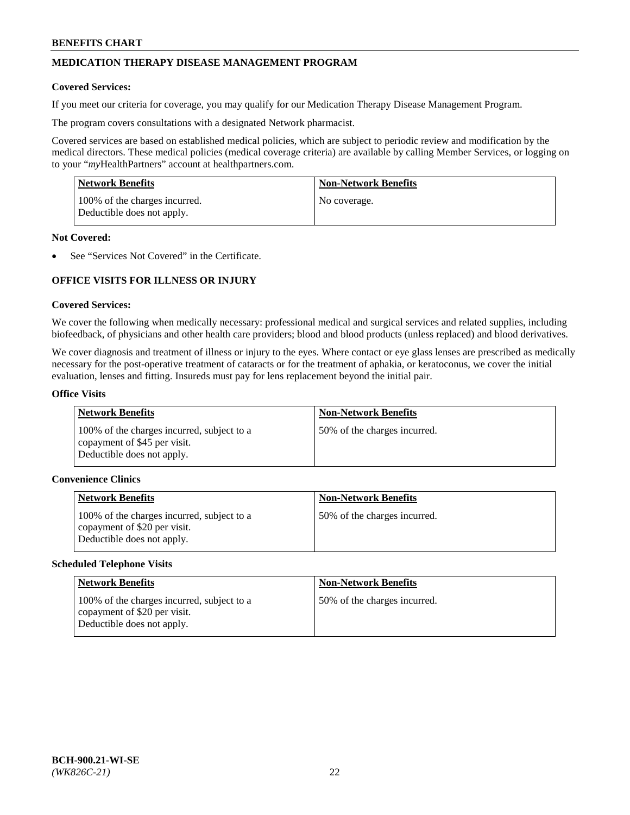# **MEDICATION THERAPY DISEASE MANAGEMENT PROGRAM**

### **Covered Services:**

If you meet our criteria for coverage, you may qualify for our Medication Therapy Disease Management Program.

The program covers consultations with a designated Network pharmacist.

Covered services are based on established medical policies, which are subject to periodic review and modification by the medical directors. These medical policies (medical coverage criteria) are available by calling Member Services, or logging on to your "*my*HealthPartners" account at [healthpartners.com.](http://www.healthpartners.com/)

| Network Benefits                                            | <b>Non-Network Benefits</b> |
|-------------------------------------------------------------|-----------------------------|
| 100% of the charges incurred.<br>Deductible does not apply. | No coverage.                |

### **Not Covered:**

See "Services Not Covered" in the Certificate.

# **OFFICE VISITS FOR ILLNESS OR INJURY**

### **Covered Services:**

We cover the following when medically necessary: professional medical and surgical services and related supplies, including biofeedback, of physicians and other health care providers; blood and blood products (unless replaced) and blood derivatives.

We cover diagnosis and treatment of illness or injury to the eyes. Where contact or eye glass lenses are prescribed as medically necessary for the post-operative treatment of cataracts or for the treatment of aphakia, or keratoconus, we cover the initial evaluation, lenses and fitting. Insureds must pay for lens replacement beyond the initial pair.

### **Office Visits**

| <b>Network Benefits</b>                                                                                  | <b>Non-Network Benefits</b>  |
|----------------------------------------------------------------------------------------------------------|------------------------------|
| 100% of the charges incurred, subject to a<br>copayment of \$45 per visit.<br>Deductible does not apply. | 50% of the charges incurred. |

### **Convenience Clinics**

| <b>Network Benefits</b>                                                                                  | <b>Non-Network Benefits</b>  |
|----------------------------------------------------------------------------------------------------------|------------------------------|
| 100% of the charges incurred, subject to a<br>copayment of \$20 per visit.<br>Deductible does not apply. | 50% of the charges incurred. |

#### **Scheduled Telephone Visits**

| <b>Network Benefits</b>                                                                                  | <b>Non-Network Benefits</b>  |
|----------------------------------------------------------------------------------------------------------|------------------------------|
| 100% of the charges incurred, subject to a<br>copayment of \$20 per visit.<br>Deductible does not apply. | 50% of the charges incurred. |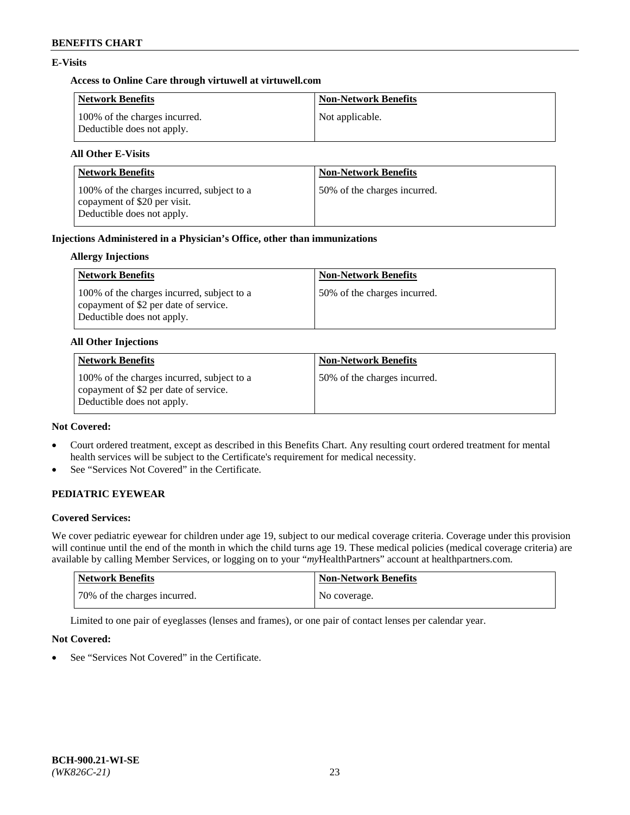## **E-Visits**

## **Access to Online Care through virtuwell a[t virtuwell.com](https://www.virtuwell.com/)**

| <b>Network Benefits</b>                                     | <b>Non-Network Benefits</b> |
|-------------------------------------------------------------|-----------------------------|
| 100% of the charges incurred.<br>Deductible does not apply. | Not applicable.             |

# **All Other E-Visits**

| <b>Network Benefits</b>                                                                                  | <b>Non-Network Benefits</b>  |
|----------------------------------------------------------------------------------------------------------|------------------------------|
| 100% of the charges incurred, subject to a<br>copayment of \$20 per visit.<br>Deductible does not apply. | 50% of the charges incurred. |

# **Injections Administered in a Physician's Office, other than immunizations**

## **Allergy Injections**

| Network Benefits                                                                                                  | <b>Non-Network Benefits</b>  |
|-------------------------------------------------------------------------------------------------------------------|------------------------------|
| 100% of the charges incurred, subject to a<br>copayment of \$2 per date of service.<br>Deductible does not apply. | 50% of the charges incurred. |

### **All Other Injections**

| <b>Network Benefits</b>                                                                                           | <b>Non-Network Benefits</b>  |
|-------------------------------------------------------------------------------------------------------------------|------------------------------|
| 100% of the charges incurred, subject to a<br>copayment of \$2 per date of service.<br>Deductible does not apply. | 50% of the charges incurred. |

### **Not Covered:**

- Court ordered treatment, except as described in this Benefits Chart. Any resulting court ordered treatment for mental health services will be subject to the Certificate's requirement for medical necessity.
- See "Services Not Covered" in the Certificate.

# **PEDIATRIC EYEWEAR**

## **Covered Services:**

We cover pediatric eyewear for children under age 19, subject to our medical coverage criteria. Coverage under this provision will continue until the end of the month in which the child turns age 19. These medical policies (medical coverage criteria) are available by calling Member Services, or logging on to your "*my*HealthPartners" account a[t healthpartners.com.](https://www.healthpartners.com/hp/index.html)

| Network Benefits             | <b>Non-Network Benefits</b> |
|------------------------------|-----------------------------|
| 70% of the charges incurred. | No coverage.                |

Limited to one pair of eyeglasses (lenses and frames), or one pair of contact lenses per calendar year.

## **Not Covered:**

See "Services Not Covered" in the Certificate.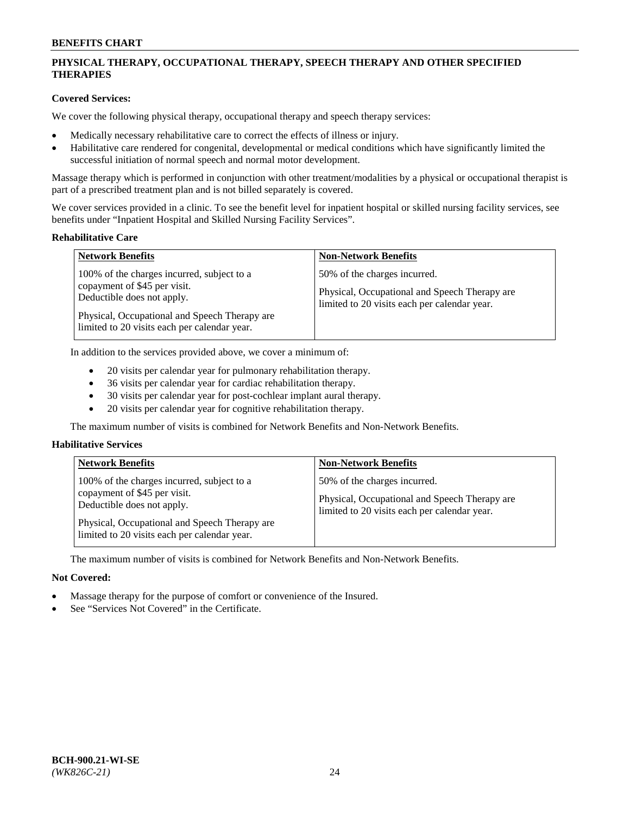# **PHYSICAL THERAPY, OCCUPATIONAL THERAPY, SPEECH THERAPY AND OTHER SPECIFIED THERAPIES**

# **Covered Services:**

We cover the following physical therapy, occupational therapy and speech therapy services:

- Medically necessary rehabilitative care to correct the effects of illness or injury.
- Habilitative care rendered for congenital, developmental or medical conditions which have significantly limited the successful initiation of normal speech and normal motor development.

Massage therapy which is performed in conjunction with other treatment/modalities by a physical or occupational therapist is part of a prescribed treatment plan and is not billed separately is covered.

We cover services provided in a clinic. To see the benefit level for inpatient hospital or skilled nursing facility services, see benefits under "Inpatient Hospital and Skilled Nursing Facility Services".

#### **Rehabilitative Care**

| <b>Network Benefits</b>                                                                                                                                                                                   | <b>Non-Network Benefits</b>                                                                                                   |
|-----------------------------------------------------------------------------------------------------------------------------------------------------------------------------------------------------------|-------------------------------------------------------------------------------------------------------------------------------|
| 100% of the charges incurred, subject to a<br>copayment of \$45 per visit.<br>Deductible does not apply.<br>Physical, Occupational and Speech Therapy are<br>limited to 20 visits each per calendar year. | 50% of the charges incurred.<br>Physical, Occupational and Speech Therapy are<br>limited to 20 visits each per calendar year. |

In addition to the services provided above, we cover a minimum of:

- 20 visits per calendar year for pulmonary rehabilitation therapy.
- 36 visits per calendar year for cardiac rehabilitation therapy.
- 30 visits per calendar year for post-cochlear implant aural therapy.
- 20 visits per calendar year for cognitive rehabilitation therapy.

The maximum number of visits is combined for Network Benefits and Non-Network Benefits.

## **Habilitative Services**

| <b>Network Benefits</b>                                                                                                                                                                                   | <b>Non-Network Benefits</b>                                                                                                   |
|-----------------------------------------------------------------------------------------------------------------------------------------------------------------------------------------------------------|-------------------------------------------------------------------------------------------------------------------------------|
| 100% of the charges incurred, subject to a<br>copayment of \$45 per visit.<br>Deductible does not apply.<br>Physical, Occupational and Speech Therapy are<br>limited to 20 visits each per calendar year. | 50% of the charges incurred.<br>Physical, Occupational and Speech Therapy are<br>limited to 20 visits each per calendar year. |

The maximum number of visits is combined for Network Benefits and Non-Network Benefits.

## **Not Covered:**

- Massage therapy for the purpose of comfort or convenience of the Insured.
- See "Services Not Covered" in the Certificate.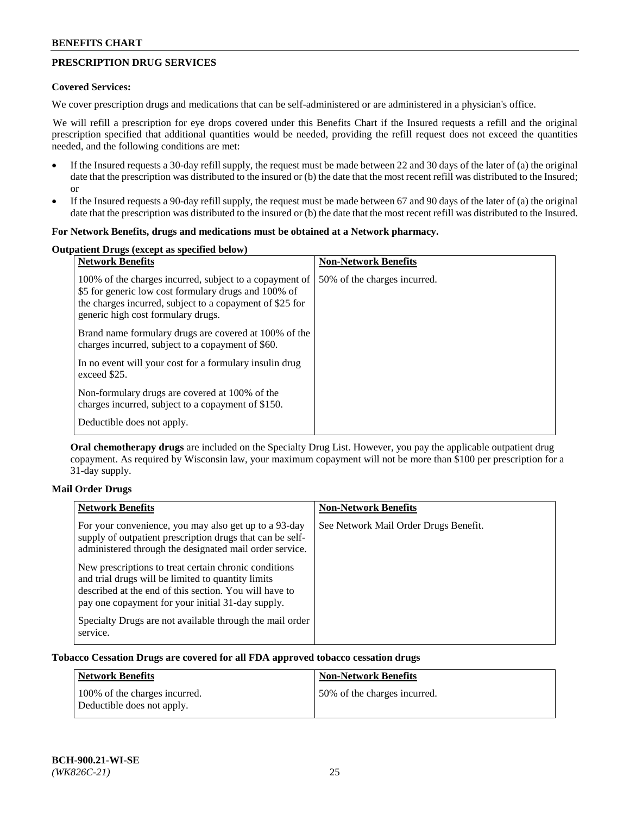# **PRESCRIPTION DRUG SERVICES**

## **Covered Services:**

We cover prescription drugs and medications that can be self-administered or are administered in a physician's office.

We will refill a prescription for eye drops covered under this Benefits Chart if the Insured requests a refill and the original prescription specified that additional quantities would be needed, providing the refill request does not exceed the quantities needed, and the following conditions are met:

- If the Insured requests a 30-day refill supply, the request must be made between 22 and 30 days of the later of (a) the original date that the prescription was distributed to the insured or (b) the date that the most recent refill was distributed to the Insured; or
- If the Insured requests a 90-day refill supply, the request must be made between 67 and 90 days of the later of (a) the original date that the prescription was distributed to the insured or (b) the date that the most recent refill was distributed to the Insured.

### **For Network Benefits, drugs and medications must be obtained at a Network pharmacy.**

# **Outpatient Drugs (except as specified below)**

| <b>Network Benefits</b>                                                                                                                                                                                           | <b>Non-Network Benefits</b>  |
|-------------------------------------------------------------------------------------------------------------------------------------------------------------------------------------------------------------------|------------------------------|
| 100% of the charges incurred, subject to a copayment of<br>\$5 for generic low cost formulary drugs and 100% of<br>the charges incurred, subject to a copayment of \$25 for<br>generic high cost formulary drugs. | 50% of the charges incurred. |
| Brand name formulary drugs are covered at 100% of the<br>charges incurred, subject to a copayment of \$60.                                                                                                        |                              |
| In no event will your cost for a formulary insulin drug<br>exceed \$25.                                                                                                                                           |                              |
| Non-formulary drugs are covered at 100% of the<br>charges incurred, subject to a copayment of \$150.                                                                                                              |                              |
| Deductible does not apply.                                                                                                                                                                                        |                              |

**Oral chemotherapy drugs** are included on the Specialty Drug List. However, you pay the applicable outpatient drug copayment. As required by Wisconsin law, your maximum copayment will not be more than \$100 per prescription for a 31-day supply.

## **Mail Order Drugs**

| <b>Network Benefits</b>                                                                                                                                                                                                    | <b>Non-Network Benefits</b>           |
|----------------------------------------------------------------------------------------------------------------------------------------------------------------------------------------------------------------------------|---------------------------------------|
| For your convenience, you may also get up to a 93-day<br>supply of outpatient prescription drugs that can be self-<br>administered through the designated mail order service.                                              | See Network Mail Order Drugs Benefit. |
| New prescriptions to treat certain chronic conditions<br>and trial drugs will be limited to quantity limits<br>described at the end of this section. You will have to<br>pay one copayment for your initial 31-day supply. |                                       |
| Specialty Drugs are not available through the mail order<br>service.                                                                                                                                                       |                                       |

## **Tobacco Cessation Drugs are covered for all FDA approved tobacco cessation drugs**

| <b>Network Benefits</b>                                     | <b>Non-Network Benefits</b>  |
|-------------------------------------------------------------|------------------------------|
| 100% of the charges incurred.<br>Deductible does not apply. | 50% of the charges incurred. |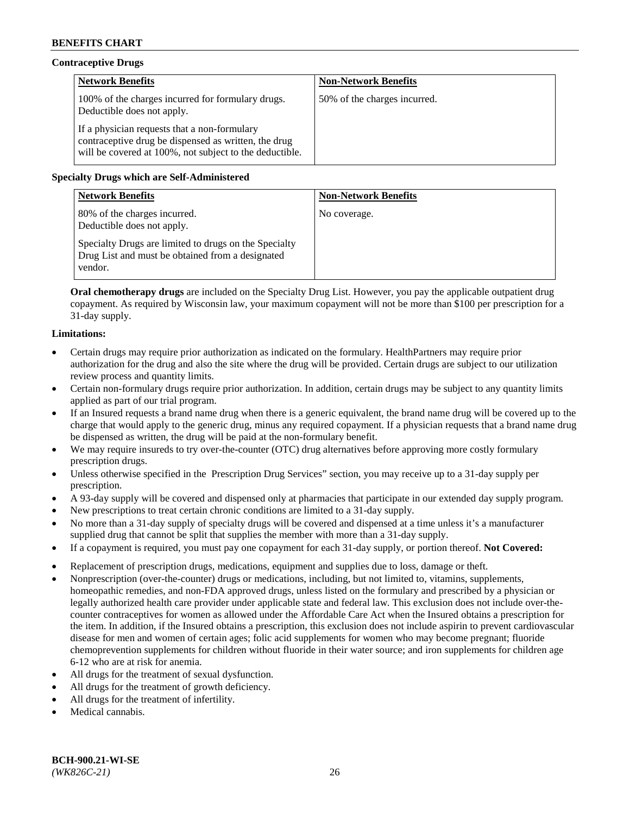# **Contraceptive Drugs**

| <b>Network Benefits</b>                                                                                                                                         | <b>Non-Network Benefits</b>  |
|-----------------------------------------------------------------------------------------------------------------------------------------------------------------|------------------------------|
| 100% of the charges incurred for formulary drugs.<br>Deductible does not apply.                                                                                 | 50% of the charges incurred. |
| If a physician requests that a non-formulary<br>contraceptive drug be dispensed as written, the drug<br>will be covered at 100%, not subject to the deductible. |                              |

## **Specialty Drugs which are Self-Administered**

| <b>Network Benefits</b>                                                                                              | <b>Non-Network Benefits</b> |
|----------------------------------------------------------------------------------------------------------------------|-----------------------------|
| 80% of the charges incurred.<br>Deductible does not apply.                                                           | No coverage.                |
| Specialty Drugs are limited to drugs on the Specialty<br>Drug List and must be obtained from a designated<br>vendor. |                             |

**Oral chemotherapy drugs** are included on the Specialty Drug List. However, you pay the applicable outpatient drug copayment. As required by Wisconsin law, your maximum copayment will not be more than \$100 per prescription for a 31-day supply.

## **Limitations:**

- Certain drugs may require prior authorization as indicated on the formulary. HealthPartners may require prior authorization for the drug and also the site where the drug will be provided. Certain drugs are subject to our utilization review process and quantity limits.
- Certain non-formulary drugs require prior authorization. In addition, certain drugs may be subject to any quantity limits applied as part of our trial program.
- If an Insured requests a brand name drug when there is a generic equivalent, the brand name drug will be covered up to the charge that would apply to the generic drug, minus any required copayment. If a physician requests that a brand name drug be dispensed as written, the drug will be paid at the non-formulary benefit.
- We may require insureds to try over-the-counter (OTC) drug alternatives before approving more costly formulary prescription drugs.
- Unless otherwise specified in the Prescription Drug Services" section, you may receive up to a 31-day supply per prescription.
- A 93-day supply will be covered and dispensed only at pharmacies that participate in our extended day supply program.
- New prescriptions to treat certain chronic conditions are limited to a 31-day supply.
- No more than a 31-day supply of specialty drugs will be covered and dispensed at a time unless it's a manufacturer supplied drug that cannot be split that supplies the member with more than a 31-day supply.
- If a copayment is required, you must pay one copayment for each 31-day supply, or portion thereof. **Not Covered:**
- Replacement of prescription drugs, medications, equipment and supplies due to loss, damage or theft.
- Nonprescription (over-the-counter) drugs or medications, including, but not limited to, vitamins, supplements, homeopathic remedies, and non-FDA approved drugs, unless listed on the formulary and prescribed by a physician or legally authorized health care provider under applicable state and federal law. This exclusion does not include over-thecounter contraceptives for women as allowed under the Affordable Care Act when the Insured obtains a prescription for the item. In addition, if the Insured obtains a prescription, this exclusion does not include aspirin to prevent cardiovascular disease for men and women of certain ages; folic acid supplements for women who may become pregnant; fluoride chemoprevention supplements for children without fluoride in their water source; and iron supplements for children age 6-12 who are at risk for anemia.
- All drugs for the treatment of sexual dysfunction.
- All drugs for the treatment of growth deficiency.
- All drugs for the treatment of infertility.
- Medical cannabis.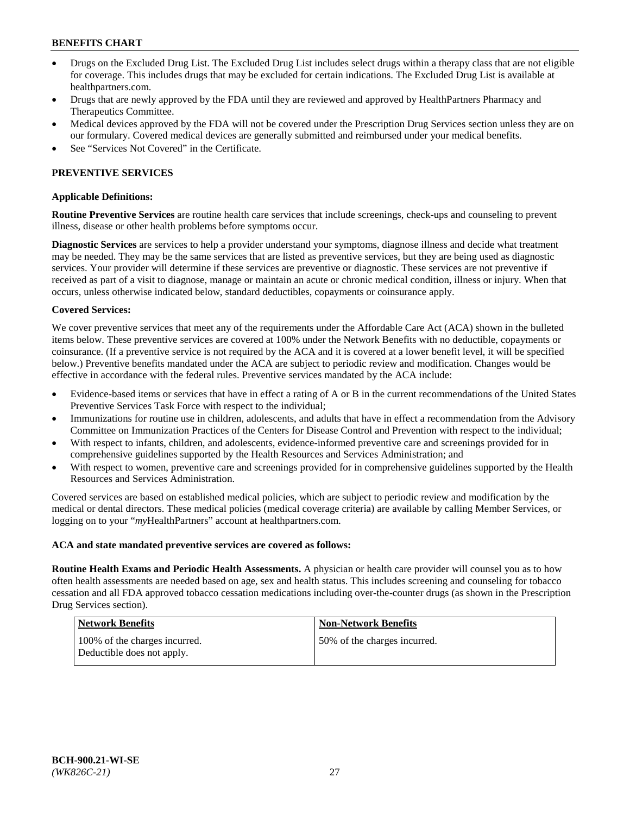- Drugs on the Excluded Drug List. The Excluded Drug List includes select drugs within a therapy class that are not eligible for coverage. This includes drugs that may be excluded for certain indications. The Excluded Drug List is available at [healthpartners.com.](http://www.healthpartners.com/)
- Drugs that are newly approved by the FDA until they are reviewed and approved by HealthPartners Pharmacy and Therapeutics Committee.
- Medical devices approved by the FDA will not be covered under the Prescription Drug Services section unless they are on our formulary. Covered medical devices are generally submitted and reimbursed under your medical benefits.
- See "Services Not Covered" in the Certificate.

## **PREVENTIVE SERVICES**

#### **Applicable Definitions:**

**Routine Preventive Services** are routine health care services that include screenings, check-ups and counseling to prevent illness, disease or other health problems before symptoms occur.

**Diagnostic Services** are services to help a provider understand your symptoms, diagnose illness and decide what treatment may be needed. They may be the same services that are listed as preventive services, but they are being used as diagnostic services. Your provider will determine if these services are preventive or diagnostic. These services are not preventive if received as part of a visit to diagnose, manage or maintain an acute or chronic medical condition, illness or injury. When that occurs, unless otherwise indicated below, standard deductibles, copayments or coinsurance apply.

#### **Covered Services:**

We cover preventive services that meet any of the requirements under the Affordable Care Act (ACA) shown in the bulleted items below. These preventive services are covered at 100% under the Network Benefits with no deductible, copayments or coinsurance. (If a preventive service is not required by the ACA and it is covered at a lower benefit level, it will be specified below.) Preventive benefits mandated under the ACA are subject to periodic review and modification. Changes would be effective in accordance with the federal rules. Preventive services mandated by the ACA include:

- Evidence-based items or services that have in effect a rating of A or B in the current recommendations of the United States Preventive Services Task Force with respect to the individual;
- Immunizations for routine use in children, adolescents, and adults that have in effect a recommendation from the Advisory Committee on Immunization Practices of the Centers for Disease Control and Prevention with respect to the individual;
- With respect to infants, children, and adolescents, evidence-informed preventive care and screenings provided for in comprehensive guidelines supported by the Health Resources and Services Administration; and
- With respect to women, preventive care and screenings provided for in comprehensive guidelines supported by the Health Resources and Services Administration.

Covered services are based on established medical policies, which are subject to periodic review and modification by the medical or dental directors. These medical policies (medical coverage criteria) are available by calling Member Services, or logging on to your "*my*HealthPartners" account at [healthpartners.com.](https://www.healthpartners.com/hp/index.html)

#### **ACA and state mandated preventive services are covered as follows:**

**Routine Health Exams and Periodic Health Assessments.** A physician or health care provider will counsel you as to how often health assessments are needed based on age, sex and health status. This includes screening and counseling for tobacco cessation and all FDA approved tobacco cessation medications including over-the-counter drugs (as shown in the Prescription Drug Services section).

| Network Benefits                                            | <b>Non-Network Benefits</b>  |
|-------------------------------------------------------------|------------------------------|
| 100% of the charges incurred.<br>Deductible does not apply. | 50% of the charges incurred. |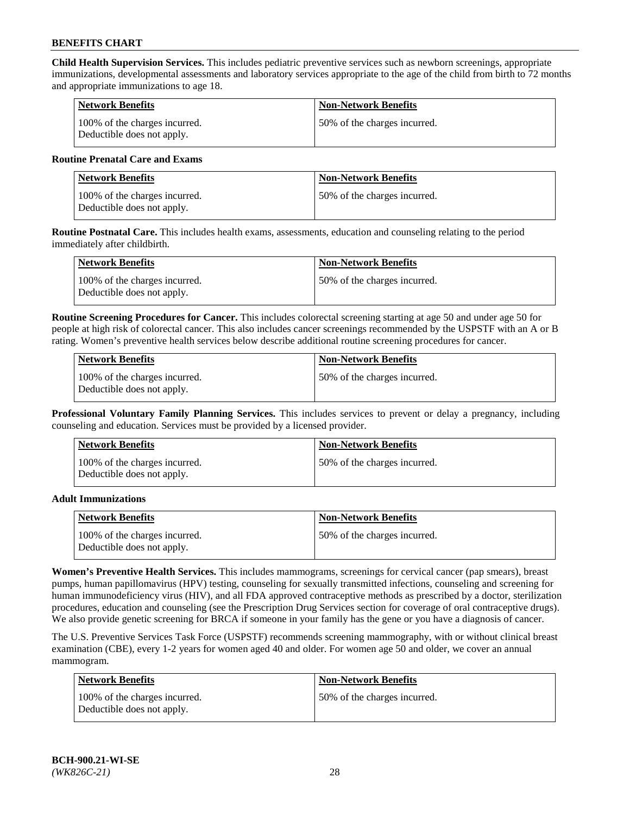**Child Health Supervision Services.** This includes pediatric preventive services such as newborn screenings, appropriate immunizations, developmental assessments and laboratory services appropriate to the age of the child from birth to 72 months and appropriate immunizations to age 18.

| <b>Network Benefits</b>                                     | <b>Non-Network Benefits</b>  |
|-------------------------------------------------------------|------------------------------|
| 100% of the charges incurred.<br>Deductible does not apply. | 50% of the charges incurred. |

## **Routine Prenatal Care and Exams**

| Network Benefits                                            | <b>Non-Network Benefits</b>  |
|-------------------------------------------------------------|------------------------------|
| 100% of the charges incurred.<br>Deductible does not apply. | 50% of the charges incurred. |

**Routine Postnatal Care.** This includes health exams, assessments, education and counseling relating to the period immediately after childbirth.

| <b>Network Benefits</b>                                     | <b>Non-Network Benefits</b>  |
|-------------------------------------------------------------|------------------------------|
| 100% of the charges incurred.<br>Deductible does not apply. | 50% of the charges incurred. |

**Routine Screening Procedures for Cancer.** This includes colorectal screening starting at age 50 and under age 50 for people at high risk of colorectal cancer. This also includes cancer screenings recommended by the USPSTF with an A or B rating. Women's preventive health services below describe additional routine screening procedures for cancer.

| <b>Network Benefits</b>                                     | <b>Non-Network Benefits</b>   |
|-------------------------------------------------------------|-------------------------------|
| 100% of the charges incurred.<br>Deductible does not apply. | 150% of the charges incurred. |

**Professional Voluntary Family Planning Services.** This includes services to prevent or delay a pregnancy, including counseling and education. Services must be provided by a licensed provider.

| <b>Network Benefits</b>                                     | <b>Non-Network Benefits</b>  |
|-------------------------------------------------------------|------------------------------|
| 100% of the charges incurred.<br>Deductible does not apply. | 50% of the charges incurred. |

### **Adult Immunizations**

| Network Benefits                                            | <b>Non-Network Benefits</b>   |
|-------------------------------------------------------------|-------------------------------|
| 100% of the charges incurred.<br>Deductible does not apply. | 150% of the charges incurred. |

**Women's Preventive Health Services.** This includes mammograms, screenings for cervical cancer (pap smears), breast pumps, human papillomavirus (HPV) testing, counseling for sexually transmitted infections, counseling and screening for human immunodeficiency virus (HIV), and all FDA approved contraceptive methods as prescribed by a doctor, sterilization procedures, education and counseling (see the Prescription Drug Services section for coverage of oral contraceptive drugs). We also provide genetic screening for BRCA if someone in your family has the gene or you have a diagnosis of cancer.

The U.S. Preventive Services Task Force (USPSTF) recommends screening mammography, with or without clinical breast examination (CBE), every 1-2 years for women aged 40 and older. For women age 50 and older, we cover an annual mammogram.

| <b>Network Benefits</b>                                     | <b>Non-Network Benefits</b>  |
|-------------------------------------------------------------|------------------------------|
| 100% of the charges incurred.<br>Deductible does not apply. | 50% of the charges incurred. |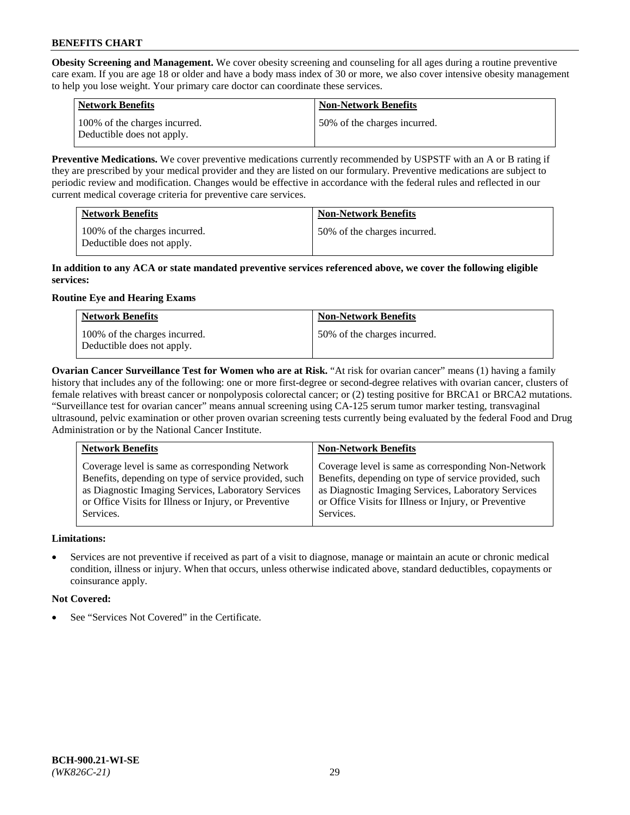**Obesity Screening and Management.** We cover obesity screening and counseling for all ages during a routine preventive care exam. If you are age 18 or older and have a body mass index of 30 or more, we also cover intensive obesity management to help you lose weight. Your primary care doctor can coordinate these services.

| <b>Network Benefits</b>                                     | <b>Non-Network Benefits</b>  |
|-------------------------------------------------------------|------------------------------|
| 100% of the charges incurred.<br>Deductible does not apply. | 50% of the charges incurred. |

**Preventive Medications.** We cover preventive medications currently recommended by USPSTF with an A or B rating if they are prescribed by your medical provider and they are listed on our formulary. Preventive medications are subject to periodic review and modification. Changes would be effective in accordance with the federal rules and reflected in our current medical coverage criteria for preventive care services.

| <b>Network Benefits</b>                                     | <b>Non-Network Benefits</b>  |
|-------------------------------------------------------------|------------------------------|
| 100% of the charges incurred.<br>Deductible does not apply. | 50% of the charges incurred. |

## **In addition to any ACA or state mandated preventive services referenced above, we cover the following eligible services:**

# **Routine Eye and Hearing Exams**

| <b>Network Benefits</b>                                     | <b>Non-Network Benefits</b>  |
|-------------------------------------------------------------|------------------------------|
| 100% of the charges incurred.<br>Deductible does not apply. | 50% of the charges incurred. |

**Ovarian Cancer Surveillance Test for Women who are at Risk.** "At risk for ovarian cancer" means (1) having a family history that includes any of the following: one or more first-degree or second-degree relatives with ovarian cancer, clusters of female relatives with breast cancer or nonpolyposis colorectal cancer; or (2) testing positive for BRCA1 or BRCA2 mutations. "Surveillance test for ovarian cancer" means annual screening using CA-125 serum tumor marker testing, transvaginal ultrasound, pelvic examination or other proven ovarian screening tests currently being evaluated by the federal Food and Drug Administration or by the National Cancer Institute.

| <b>Network Benefits</b>                               | <b>Non-Network Benefits</b>                           |
|-------------------------------------------------------|-------------------------------------------------------|
| Coverage level is same as corresponding Network       | Coverage level is same as corresponding Non-Network   |
| Benefits, depending on type of service provided, such | Benefits, depending on type of service provided, such |
| as Diagnostic Imaging Services, Laboratory Services   | as Diagnostic Imaging Services, Laboratory Services   |
| or Office Visits for Illness or Injury, or Preventive | or Office Visits for Illness or Injury, or Preventive |
| Services.                                             | Services.                                             |

## **Limitations:**

• Services are not preventive if received as part of a visit to diagnose, manage or maintain an acute or chronic medical condition, illness or injury. When that occurs, unless otherwise indicated above, standard deductibles, copayments or coinsurance apply.

## **Not Covered:**

See "Services Not Covered" in the Certificate.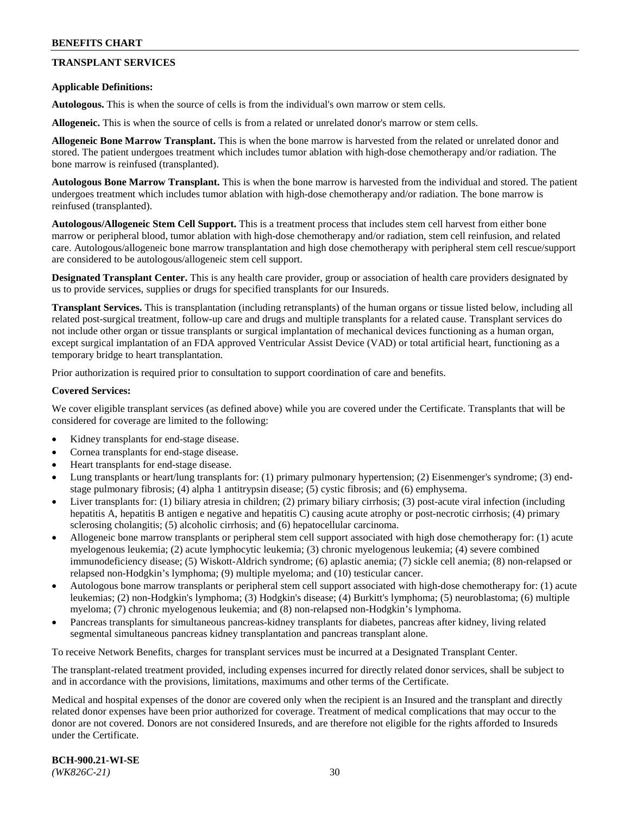## **TRANSPLANT SERVICES**

### **Applicable Definitions:**

**Autologous.** This is when the source of cells is from the individual's own marrow or stem cells.

**Allogeneic.** This is when the source of cells is from a related or unrelated donor's marrow or stem cells.

**Allogeneic Bone Marrow Transplant.** This is when the bone marrow is harvested from the related or unrelated donor and stored. The patient undergoes treatment which includes tumor ablation with high-dose chemotherapy and/or radiation. The bone marrow is reinfused (transplanted).

**Autologous Bone Marrow Transplant.** This is when the bone marrow is harvested from the individual and stored. The patient undergoes treatment which includes tumor ablation with high-dose chemotherapy and/or radiation. The bone marrow is reinfused (transplanted).

**Autologous/Allogeneic Stem Cell Support.** This is a treatment process that includes stem cell harvest from either bone marrow or peripheral blood, tumor ablation with high-dose chemotherapy and/or radiation, stem cell reinfusion, and related care. Autologous/allogeneic bone marrow transplantation and high dose chemotherapy with peripheral stem cell rescue/support are considered to be autologous/allogeneic stem cell support.

**Designated Transplant Center.** This is any health care provider, group or association of health care providers designated by us to provide services, supplies or drugs for specified transplants for our Insureds.

**Transplant Services.** This is transplantation (including retransplants) of the human organs or tissue listed below, including all related post-surgical treatment, follow-up care and drugs and multiple transplants for a related cause. Transplant services do not include other organ or tissue transplants or surgical implantation of mechanical devices functioning as a human organ, except surgical implantation of an FDA approved Ventricular Assist Device (VAD) or total artificial heart, functioning as a temporary bridge to heart transplantation.

Prior authorization is required prior to consultation to support coordination of care and benefits.

### **Covered Services:**

We cover eligible transplant services (as defined above) while you are covered under the Certificate. Transplants that will be considered for coverage are limited to the following:

- Kidney transplants for end-stage disease.
- Cornea transplants for end-stage disease.
- Heart transplants for end-stage disease.
- Lung transplants or heart/lung transplants for: (1) primary pulmonary hypertension; (2) Eisenmenger's syndrome; (3) endstage pulmonary fibrosis; (4) alpha 1 antitrypsin disease; (5) cystic fibrosis; and (6) emphysema.
- Liver transplants for: (1) biliary atresia in children; (2) primary biliary cirrhosis; (3) post-acute viral infection (including hepatitis A, hepatitis B antigen e negative and hepatitis C) causing acute atrophy or post-necrotic cirrhosis; (4) primary sclerosing cholangitis; (5) alcoholic cirrhosis; and (6) hepatocellular carcinoma.
- Allogeneic bone marrow transplants or peripheral stem cell support associated with high dose chemotherapy for: (1) acute myelogenous leukemia; (2) acute lymphocytic leukemia; (3) chronic myelogenous leukemia; (4) severe combined immunodeficiency disease; (5) Wiskott-Aldrich syndrome; (6) aplastic anemia; (7) sickle cell anemia; (8) non-relapsed or relapsed non-Hodgkin's lymphoma; (9) multiple myeloma; and (10) testicular cancer.
- Autologous bone marrow transplants or peripheral stem cell support associated with high-dose chemotherapy for: (1) acute leukemias; (2) non-Hodgkin's lymphoma; (3) Hodgkin's disease; (4) Burkitt's lymphoma; (5) neuroblastoma; (6) multiple myeloma; (7) chronic myelogenous leukemia; and (8) non-relapsed non-Hodgkin's lymphoma.
- Pancreas transplants for simultaneous pancreas-kidney transplants for diabetes, pancreas after kidney, living related segmental simultaneous pancreas kidney transplantation and pancreas transplant alone.

To receive Network Benefits, charges for transplant services must be incurred at a Designated Transplant Center.

The transplant-related treatment provided, including expenses incurred for directly related donor services, shall be subject to and in accordance with the provisions, limitations, maximums and other terms of the Certificate.

Medical and hospital expenses of the donor are covered only when the recipient is an Insured and the transplant and directly related donor expenses have been prior authorized for coverage. Treatment of medical complications that may occur to the donor are not covered. Donors are not considered Insureds, and are therefore not eligible for the rights afforded to Insureds under the Certificate.